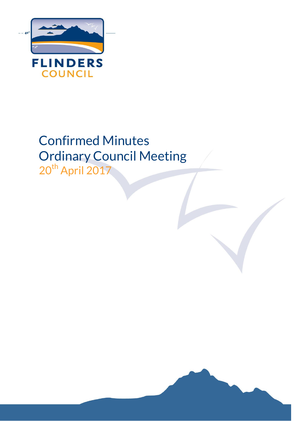

# Confirmed Minutes Ordinary Council Meeting

20<sup>th</sup> April 2017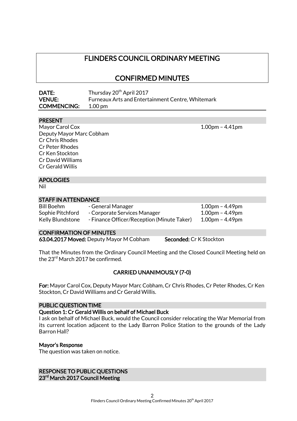# FLINDERS COUNCIL ORDINARY MEETING

CONFIRMED MINUTES

| DATE:              | Thursday 20 <sup>th</sup> April 2017                     |
|--------------------|----------------------------------------------------------|
| <b>VENUE:</b>      | <b>Furneaux Arts and Entertainment Centre, Whitemark</b> |
| <b>COMMENCING:</b> | $1.00 \,\mathrm{nm}$                                     |

#### PRESENT

Mayor Carol Cox 1.00pm – 4.41pm Deputy Mayor Marc Cobham Cr Chris Rhodes Cr Peter Rhodes Cr Ken Stockton Cr David Williams Cr Gerald Willis

#### APOLOGIES

Nil

#### STAFF IN ATTENDANCE

| Bill Boehm       | - General Manager                          | $1.00$ pm – 4.49pm |
|------------------|--------------------------------------------|--------------------|
| Sophie Pitchford | - Corporate Services Manager               | 1.00pm – 4.49pm    |
| Kelly Blundstone | - Finance Officer/Reception (Minute Taker) | $1.00$ pm – 4.49pm |

#### CONFIRMATION OF MINUTES

63.04.2017 Moved: Deputy Mayor M Cobham Seconded: Cr K Stockton

That the Minutes from the Ordinary Council Meeting and the Closed Council Meeting held on the 23<sup>rd</sup> March 2017 be confirmed.

#### CARRIED UNANIMOUSLY (7-0)

For: Mayor Carol Cox, Deputy Mayor Marc Cobham, Cr Chris Rhodes, Cr Peter Rhodes, Cr Ken Stockton, Cr David Williams and Cr Gerald Willis.

#### PUBLIC QUESTION TIME

#### Question 1: Cr Gerald Willis on behalf of Michael Buck

I ask on behalf of Michael Buck, would the Council consider relocating the War Memorial from its current location adjacent to the Lady Barron Police Station to the grounds of the Lady Barron Hall?

#### Mayor's Response

The question was taken on notice.

RESPONSE TO PUBLIC QUESTIONS 23<sup>rd</sup> March 2017 Council Meeting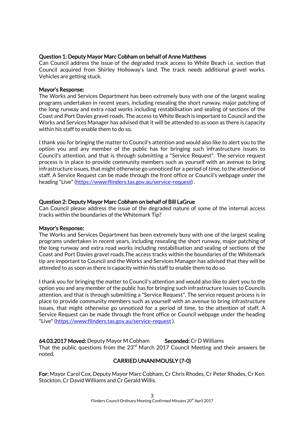#### Question 1: Deputy Mayor Marc Cobham on behalf of Anne Matthews

Can Council address the issue of the degraded track access to White Beach i.e. section that Council acquired from Shirley Holloway's land. The track needs additional gravel works. Vehicles are getting stuck.

#### Mayor's Response:

The Works and Services Department has been extremely busy with one of the largest sealing programs undertaken in recent years, including resealing the short runway, major patching of the long runway and extra road works including restabilisation and sealing of sections of the Coast and Port Davies gravel roads. The access to White Beach is important to Council and the Works and Services Manager has advised that it will be attended to as soon as there is capacity within his staff to enable them to do so.

I thank you for bringing the matter to Council's attention and would also like to alert you to the option you and any member of the public has for bringing such infrastructure issues to Council's attention, and that is through submitting a "Service Request". The service request process is in place to provide community members such as yourself with an avenue to bring infrastructure issues, that might otherwise go unnoticed for a period of time, to the attention of staff. A Service Request can be made through the front office or Council's webpage under the heading "Live" [\(https://www:flinders.tas.gov.au/service-request\)](https://www:flinders.tas.gov.au/service-request).

#### Question 2: Deputy Mayor Marc Cobham on behalf of Bill LaGrue

Can Council please address the issue of the degraded nature of some of the internal access tracks within the boundaries of the Whitemark Tip?

#### Mayor's Response:

The Works and Services Department has been extremely busy with one of the largest sealing programs undertaken in recent years, including resealing the short runway, major patching of the long runway and extra road works including restabilisation and sealing of sections of the Coast and Port Davies gravel roads.The access tracks within the boundaries of the Whitemark tip are important to Council and the Works and Services Manager has advised that they will be attended to as soon as there is capacity within his staff to enable them to do so.

I thank you for bringing the matter to Council's attention and would also like to alert you to the option you and any member of the public has for bringing such infrastructure issues to Councils attention, and that is through submitting a "Service Request". The service request process is in place to provide community members such as yourself with an avenue to bring infrastructure issues, that might otherwise go unnoticed for a period of time, to the attention of staff. A Service Request can be made through the front office or Council webpage under the heading "Live"[\(https://www:flinders.tas.gov.au/service-request](https://www:flinders.tas.gov.au/service-request) ).

64.03.2017 Moved: Deputy Mayor M Cobham Seconded: Cr D Williams That the public questions from the  $23<sup>rd</sup>$  March 2017 Council Meeting and their answers be noted.

# CARRIED UNANIMOUSLY (7-0)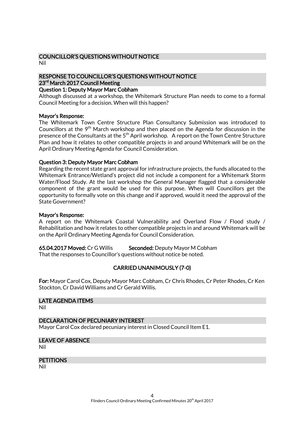#### COUNCILLOR'S QUESTIONS WITHOUT NOTICE Nil

# RESPONSE TO COUNCILLOR'S QUESTIONS WITHOUT NOTICE 23<sup>rd</sup> March 2017 Council Meeting

#### Question 1: Deputy Mayor Marc Cobham

Although discussed at a workshop, the Whitemark Structure Plan needs to come to a formal Council Meeting for a decision. When will this happen?

#### Mayor's Response:

The Whitemark Town Centre Structure Plan Consultancy Submission was introduced to Councillors at the  $9<sup>th</sup>$  March workshop and then placed on the Agenda for discussion in the presence of the Consultants at the 5<sup>th</sup> April workshop. A report on the Town Centre Structure Plan and how it relates to other compatible projects in and around Whitemark will be on the April Ordinary Meeting Agenda for Council Consideration.

#### Question 3: Deputy Mayor Marc Cobham

Regarding the recent state grant approval for infrastructure projects, the funds allocated to the Whitemark Entrance/Wetland's project did not include a component for a Whitemark Storm Water/Flood Study. At the last workshop the General Manager flagged that a considerable component of the grant would be used for this purpose. When will Councillors get the opportunity to formally vote on this change and if approved, would it need the approval of the State Government?

#### Mayor's Response:

A report on the Whitemark Coastal Vulnerability and Overland Flow / Flood study / Rehabilitation and how it relates to other compatible projects in and around Whitemark will be on the April Ordinary Meeting Agenda for Council Consideration.

65.04.2017 Moved: Cr G Willis Seconded: Deputy Mayor M Cobham

That the responses to Councillor's questions without notice be noted.

### CARRIED UNANIMOUSLY (7-0)

For: Mayor Carol Cox, Deputy Mayor Marc Cobham, Cr Chris Rhodes, Cr Peter Rhodes, Cr Ken Stockton, Cr David Williams and Cr Gerald Willis.

# LATE AGENDA ITEMS

Nil

#### DECLARATION OF PECUNIARY INTEREST

Mayor Carol Cox declared pecuniary interest in Closed Council Item E1.

#### LEAVE OF ABSENCE

Nil

#### **PETITIONS**

Nil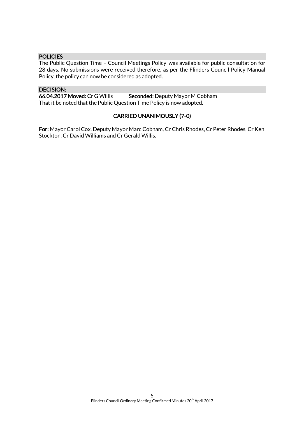#### POLICIES

The Public Question Time – Council Meetings Policy was available for public consultation for 28 days. No submissions were received therefore, as per the Flinders Council Policy Manual Policy, the policy can now be considered as adopted.

DECISION:<br>66.04.2017 Moved: Cr G Willis Seconded: Deputy Mayor M Cobham That it be noted that the Public Question Time Policy is now adopted.

#### CARRIED UNANIMOUSLY (7-0)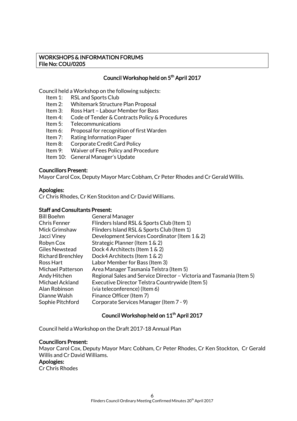#### WORKSHOPS & INFORMATION FORUMS File No: COU/0205

#### Council Workshop held on 5th April 2017

Council held a Workshop on the following subjects:

- Item 1: RSL and Sports Club
- Item 2: Whitemark Structure Plan Proposal
- Item 3: Ross Hart Labour Member for Bass
- Item 4: Code of Tender & Contracts Policy & Procedures
- Item 5: Telecommunications
- Item 6: Proposal for recognition of first Warden
- Item 7: Rating Information Paper
- Item 8: Corporate Credit Card Policy
- Item 9: Waiver of Fees Policy and Procedure
- Item 10: General Manager's Update

#### Councillors Present:

Mayor Carol Cox, Deputy Mayor Marc Cobham, Cr Peter Rhodes and Cr Gerald Willis.

#### Apologies:

Cr Chris Rhodes, Cr Ken Stockton and Cr David Williams.

#### Staff and Consultants Present:

| <b>General Manager</b>                                               |
|----------------------------------------------------------------------|
| Flinders Island RSL & Sports Club (Item 1)                           |
| Flinders Island RSL & Sports Club (Item 1)                           |
| Development Services Coordinator (Item 1 & 2)                        |
| Strategic Planner (Item 1 & 2)                                       |
| Dock 4 Architects (Item 1 & 2)                                       |
| Dock4 Architects (Item 1 & 2)                                        |
| Labor Member for Bass (Item 3)                                       |
| Area Manager Tasmania Telstra (Item 5)                               |
| Regional Sales and Service Director - Victoria and Tasmania (Item 5) |
| Executive Director Telstra Countrywide (Item 5)                      |
| (via teleconference) (Item 6)                                        |
| Finance Officer (Item 7)                                             |
| Corporate Services Manager (Item 7 - 9)                              |
|                                                                      |

### Council Workshop held on 11<sup>th</sup> April 2017

Council held a Workshop on the Draft 2017-18 Annual Plan

#### Councillors Present:

Mayor Carol Cox, Deputy Mayor Marc Cobham, Cr Peter Rhodes, Cr Ken Stockton, Cr Gerald Willis and Cr David Williams.

#### Apologies:

Cr Chris Rhodes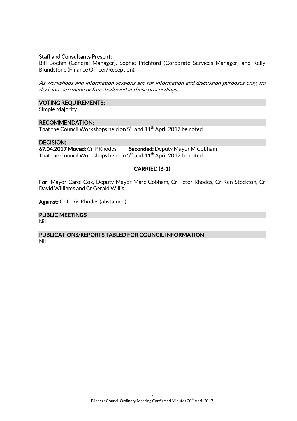#### Staff and Consultants Present:

Bill Boehm (General Manager), Sophie Pitchford (Corporate Services Manager) and Kelly Blundstone (Finance Officer/Reception).

As workshops and information sessions are for information and discussion purposes only, no decisions are made or foreshadowed at these proceedings.

#### VOTING REQUIREMENTS:

Simple Majority

#### RECOMMENDATION:

That the Council Workshops held on  $5^{\rm th}$  and  $11^{\rm th}$  April 2017 be noted.

#### DECISION:

67.04.2017 Moved: Cr P Rhodes Seconded: Deputy Mayor M Cobham That the Council Workshops held on  $5<sup>th</sup>$  and  $11<sup>th</sup>$  April 2017 be noted.

### CARRIED (6-1)

For: Mayor Carol Cox, Deputy Mayor Marc Cobham, Cr Peter Rhodes, Cr Ken Stockton, Cr David Williams and Cr Gerald Willis.

Against: Cr Chris Rhodes (abstained)

#### PUBLIC MEETINGS

Nil

#### PUBLICATIONS/REPORTS TABLED FOR COUNCIL INFORMATION Nil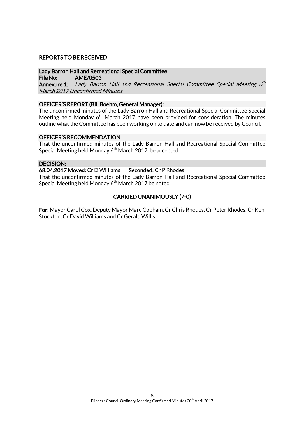#### REPORTS TO BE RECEIVED

#### Lady Barron Hall and Recreational Special Committee

File No: AME/0503

**Annexure 1:** Lady Barron Hall and Recreational Special Committee Special Meeting 6<sup>th</sup> March 2017 Unconfirmed Minutes

#### OFFICER'S REPORT (Bill Boehm, General Manager):

The unconfirmed minutes of the Lady Barron Hall and Recreational Special Committee Special Meeting held Monday  $6<sup>th</sup>$  March 2017 have been provided for consideration. The minutes outline what the Committee has been working on to date and can now be received by Council.

#### OFFICER'S RECOMMENDATION

That the unconfirmed minutes of the Lady Barron Hall and Recreational Special Committee Special Meeting held Monday 6<sup>th</sup> March 2017 be accepted.

#### DECISION:

#### 68.04.2017 Moved: Cr D Williams Seconded: Cr P Rhodes

That the unconfirmed minutes of the Lady Barron Hall and Recreational Special Committee Special Meeting held Monday 6<sup>th</sup> March 2017 be noted.

#### CARRIED UNANIMOUSLY (7-0)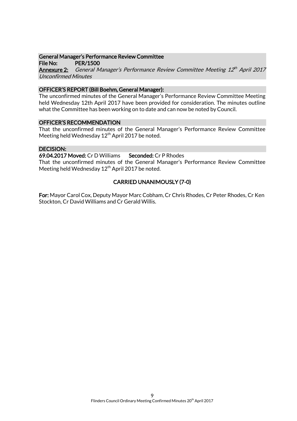#### General Manager's Performance Review Committee

File No: PER/1500

**Annexure 2:** General Manager's Performance Review Committee Meeting 12<sup>th</sup> April 2017 Unconfirmed Minutes

#### OFFICER'S REPORT (Bill Boehm, General Manager):

The unconfirmed minutes of the General Manager's Performance Review Committee Meeting held Wednesday 12th April 2017 have been provided for consideration. The minutes outline what the Committee has been working on to date and can now be noted by Council.

#### OFFICER'S RECOMMENDATION

That the unconfirmed minutes of the General Manager's Performance Review Committee Meeting held Wednesday  $12<sup>th</sup>$  April 2017 be noted.

#### DECISION:

69.04.2017 Moved: Cr D Williams Seconded: Cr P Rhodes

That the unconfirmed minutes of the General Manager's Performance Review Committee Meeting held Wednesday  $12<sup>th</sup>$  April 2017 be noted.

# CARRIED UNANIMOUSLY (7-0)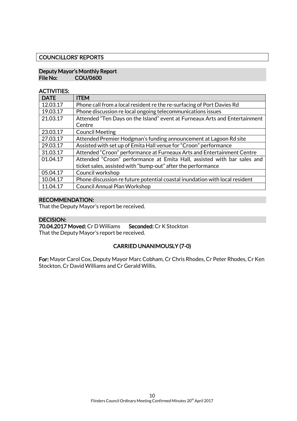#### COUNCILLORS' REPORTS

#### Deputy Mayor's Monthly Report File No: COU/0600

#### ACTIVITIES:

| <b>DATE</b> | <b>ITEM</b>                                                                 |
|-------------|-----------------------------------------------------------------------------|
| 12.03.17    | Phone call from a local resident re the re-surfacing of Port Davies Rd      |
| 19.03.17    | Phone discussion re local ongoing telecommunications issues                 |
| 21.03.17    | Attended "Ten Days on the Island" event at Furneaux Arts and Entertainment  |
|             | Centre                                                                      |
| 23.03.17    | <b>Council Meeting</b>                                                      |
| 27.03.17    | Attended Premier Hodgman's funding announcement at Lagoon Rd site           |
| 29.03.17    | Assisted with set up of Emita Hall venue for "Croon" performance            |
| 31.03.17    | Attended "Croon" performance at Furneaux Arts and Entertainment Centre      |
| 01.04.17    | Attended "Croon" performance at Emita Hall, assisted with bar sales and     |
|             | ticket sales, assisted with "bump-out" after the performance                |
| 05.04.17    | Council workshop                                                            |
| 10.04.17    | Phone discussion re future potential coastal inundation with local resident |
| 11.04.17    | <b>Council Annual Plan Workshop</b>                                         |

#### RECOMMENDATION:

That the Deputy Mayor's report be received.

#### DECISION:

70.04.2017 Moved: Cr D Williams Seconded: Cr K Stockton That the Deputy Mayor's report be received.

### CARRIED UNANIMOUSLY (7-0)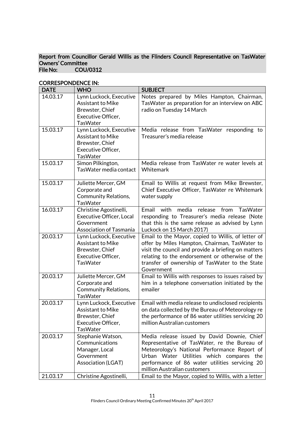#### Report from Councillor Gerald Willis as the Flinders Council Representative on TasWater Owners' Committee<br>File No: COU/ COU/0312

| <b>DATE</b>          | <b>WHO</b>                                                                                                      | <b>SUBJECT</b>                                                                                                                                                                                                                                                                |
|----------------------|-----------------------------------------------------------------------------------------------------------------|-------------------------------------------------------------------------------------------------------------------------------------------------------------------------------------------------------------------------------------------------------------------------------|
| 14.03.17             | Lynn Luckock, Executive<br><b>Assistant to Mike</b><br>Brewster, Chief<br>Executive Officer,<br><b>TasWater</b> | Notes prepared by Miles Hampton, Chairman,<br>TasWater as preparation for an interview on ABC<br>radio on Tuesday 14 March                                                                                                                                                    |
| 15.03.17             | Lynn Luckock, Executive<br><b>Assistant to Mike</b><br>Brewster, Chief<br>Executive Officer,<br><b>TasWater</b> | Media release from TasWater responding to<br>Treasurer's media release                                                                                                                                                                                                        |
| 15.03.17             | Simon Pilkington,<br>Tas Water media contact                                                                    | Media release from TasWater re water levels at<br>Whitemark                                                                                                                                                                                                                   |
| 15.03.17             | Juliette Mercer, GM<br>Corporate and<br>Community Relations,<br><b>TasWater</b>                                 | Email to Willis at request from Mike Brewster,<br>Chief Executive Officer, TasWater re Whitemark<br>water supply                                                                                                                                                              |
| 16.03.17             | Christine Agostinelli,<br><b>Executive Officer, Local</b><br>Government<br><b>Association of Tasmania</b>       | Email<br>with<br>media<br>release<br>from<br><b>TasWater</b><br>responding to Treasurer's media release (Note<br>that this is the same release as advised by Lynn<br>Luckock on 15 March 2017)                                                                                |
| 20.03.17             | Lynn Luckock, Executive<br><b>Assistant to Mike</b><br>Brewster, Chief<br>Executive Officer,<br><b>TasWater</b> | Email to the Mayor, copied to Willis, of letter of<br>offer by Miles Hampton, Chairman, TasWater to<br>visit the council and provide a briefing on matters<br>relating to the endorsement or otherwise of the<br>transfer of ownership of TasWater to the State<br>Government |
| 20.03.17             | Juliette Mercer, GM<br>Corporate and<br><b>Community Relations,</b><br><b>TasWater</b>                          | Email to Willis with responses to issues raised by<br>him in a telephone conversation initiated by the<br>emailer                                                                                                                                                             |
| 20.03.17             | Lynn Luckock, Executive<br>Assistant to Mike<br>Brewster, Chief<br>Executive Officer,<br>TasWater               | Email with media release to undisclosed recipients<br>on data collected by the Bureau of Meteorology re<br>the performance of 86 water utilities servicing 20<br>million Australian customers                                                                                 |
| 20.03.17<br>21.03.17 | Stephanie Watson,<br>Communications<br>Manager, Local<br>Government<br>Association (LGAT)                       | Media release issued by David Downie, Chief<br>Representative of TasWater, re the Bureau of<br>Meteorology's National Performance Report of<br>Urban Water Utilities which compares the<br>performance of 86 water utilities servicing 20<br>million Australian customers     |
|                      | Christine Agostinelli,                                                                                          | Email to the Mayor, copied to Willis, with a letter                                                                                                                                                                                                                           |

# CORRESPONDENCE IN: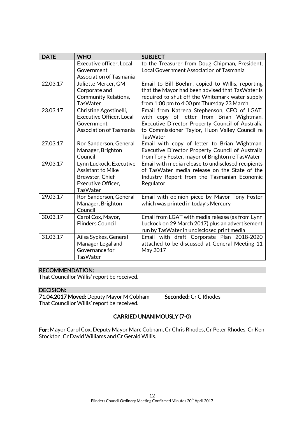| <b>DATE</b> | <b>WHO</b>                                                                                                             | <b>SUBJECT</b>                                                                                                                                                                                                   |
|-------------|------------------------------------------------------------------------------------------------------------------------|------------------------------------------------------------------------------------------------------------------------------------------------------------------------------------------------------------------|
|             | Executive officer, Local<br>Government                                                                                 | to the Treasurer from Doug Chipman, President,<br>Local Government Association of Tasmania                                                                                                                       |
|             | <b>Association of Tasmania</b>                                                                                         |                                                                                                                                                                                                                  |
| 22.03.17    | Juliette Mercer, GM<br>Corporate and<br><b>Community Relations,</b><br><b>TasWater</b>                                 | Email to Bill Boehm, copied to Willis, reporting<br>that the Mayor had been advised that TasWater is<br>required to shut off the Whitemark water supply<br>from 1:00 pm to 4:00 pm Thursday 23 March             |
| 23.03.17    | Christine Agostinelli,<br><b>Executive Officer, Local</b><br>Government<br><b>Association of Tasmania</b>              | Email from Katrena Stephenson, CEO of LGAT,<br>with copy of letter from Brian Wightman,<br>Executive Director Property Council of Australia<br>to Commissioner Taylor, Huon Valley Council re<br><b>TasWater</b> |
| 27.03.17    | Ron Sanderson, General<br>Manager, Brighton<br>Council                                                                 | Email with copy of letter to Brian Wightman,<br>Executive Director Property Council of Australia<br>from Tony Foster, mayor of Brighton re TasWater                                                              |
| 29.03.17    | Lynn Luckock, Executive<br><b>Assistant to Mike</b><br>Brewster, Chief<br><b>Executive Officer,</b><br><b>TasWater</b> | Email with media release to undisclosed recipients<br>of TasWater media release on the State of the<br>Industry Report from the Tasmanian Economic<br>Regulator                                                  |
| 29.03.17    | Ron Sanderson, General<br>Manager, Brighton<br>Council                                                                 | Email with opinion piece by Mayor Tony Foster<br>which was printed in today's Mercury                                                                                                                            |
| 30.03.17    | Carol Cox, Mayor,<br><b>Flinders Council</b>                                                                           | Email from LGAT with media release (as from Lynn<br>Luckock on 29 March 2017) plus an advertisement<br>run by TasWater in undisclosed print media                                                                |
| 31.03.17    | Ailsa Sypkes, General<br>Manager Legal and<br>Governance for<br><b>TasWater</b>                                        | Email with draft Corporate Plan 2018-2020<br>attached to be discussed at General Meeting 11<br>May 2017                                                                                                          |

#### RECOMMENDATION:

That Councillor Willis' report be received.

### DECISION:

71.04.2017 Moved: Deputy Mayor M Cobham Seconded: Cr C Rhodes That Councillor Willis' report be received.

# CARRIED UNANIMOUSLY (7-0)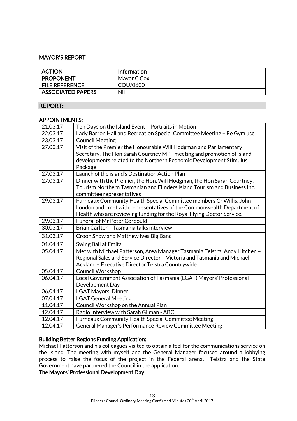#### MAYOR'S REPORT

| <b>ACTION</b>            | <b>Information</b> |
|--------------------------|--------------------|
| <b>PROPONENT</b>         | Mayor C Cox        |
| <b>FILE REFERENCE</b>    | COU/0600           |
| <b>ASSOCIATED PAPERS</b> | Nil                |

#### REPORT:

#### APPOINTMENTS:

| 21.03.17 | Ten Days on the Island Event - Portraits in Motion                        |
|----------|---------------------------------------------------------------------------|
| 22.03.17 | Lady Barron Hall and Recreation Special Committee Meeting - Re Gym use    |
| 23.03.17 | <b>Council Meeting</b>                                                    |
| 27.03.17 | Visit of the Premier the Honourable Will Hodgman and Parliamentary        |
|          | Secretary, The Hon Sarah Courtney MP - meeting and promotion of island    |
|          | developments related to the Northern Economic Development Stimulus        |
|          | Package                                                                   |
| 27.03.17 | Launch of the island's Destination Action Plan                            |
| 27.03.17 | Dinner with the Premier, the Hon. Will Hodgman, the Hon Sarah Courtney,   |
|          | Tourism Northern Tasmanian and Flinders Island Tourism and Business Inc.  |
|          | committee representatives                                                 |
| 29.03.17 | Furneaux Community Health Special Committee members Cr Willis, John       |
|          | Loudon and I met with representatives of the Commonwealth Department of   |
|          | Health who are reviewing funding for the Royal Flying Doctor Service.     |
| 29.03.17 | <b>Funeral of Mr Peter Corbould</b>                                       |
| 30.03.17 | Brian Carlton - Tasmania talks interview                                  |
| 31.03.17 | Croon Show and Matthew Ives Big Band                                      |
| 01.04.17 | Swing Ball at Emita                                                       |
| 05.04.17 | Met with Michael Patterson, Area Manager Tasmania Telstra; Andy Hitchen - |
|          | Regional Sales and Service Director - Victoria and Tasmania and Michael   |
|          | Ackland - Executive Director Telstra Countrywide                          |
| 05.04.17 | <b>Council Workshop</b>                                                   |
| 06.04.17 | Local Government Association of Tasmania (LGAT) Mayors' Professional      |
|          | Development Day                                                           |
| 06.04.17 | <b>LGAT Mayors' Dinner</b>                                                |
| 07.04.17 | <b>LGAT General Meeting</b>                                               |
| 11.04.17 | Council Workshop on the Annual Plan                                       |
| 12.04.17 | Radio Interview with Sarah Gilman - ABC                                   |
| 12.04.17 | <b>Furneaux Community Health Special Committee Meeting</b>                |
| 12.04.17 | General Manager's Performance Review Committee Meeting                    |

### Building Better Regions Funding Application:

Michael Patterson and his colleagues visited to obtain a feel for the communications service on the Island. The meeting with myself and the General Manager focused around a lobbying process to raise the focus of the project in the Federal arena. Telstra and the State Government have partnered the Council in the application.

#### The Mayors' Professional Development Day: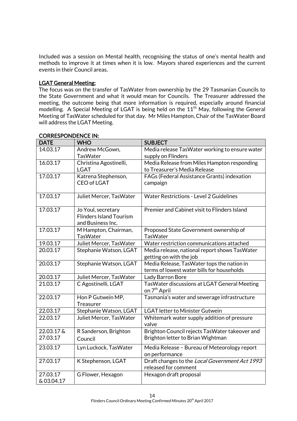Included was a session on Mental health, recognising the status of one's mental health and methods to improve it at times when it is low. Mayors shared experiences and the current events in their Council areas.

#### LGAT General Meeting:

The focus was on the transfer of TasWater from ownership by the 29 Tasmanian Councils to the State Government and what it would mean for Councils. The Treasurer addressed the meeting, the outcome being that more information is required, especially around financial modelling. A Special Meeting of LGAT is being held on the 11<sup>th</sup> May, following the General Meeting of TasWater scheduled for that day. Mr Miles Hampton, Chair of the TasWater Board will address the LGAT Meeting.

| <b>DATE</b> | <b>WHO</b>                        | <b>SUBJECT</b>                                                           |
|-------------|-----------------------------------|--------------------------------------------------------------------------|
| 14.03.17    | Andrew McGown,<br><b>TasWater</b> | Media release TasWater working to ensure water<br>supply on Flinders     |
| 16.03.17    | Christina Agostinelli,            | Media Release from Miles Hampton responding                              |
|             | <b>LGAT</b>                       | to Treasurer's Media Release                                             |
| 17.03.17    | Katrena Stephenson,               | FAGs (Federal Assistance Grants) indexation                              |
|             | <b>CEO of LGAT</b>                | campaign                                                                 |
| 17.03.17    | Juliet Mercer, TasWater           | <b>Water Restrictions - Level 2 Guidelines</b>                           |
| 17.03.17    | Jo Youl, secretary                | Premier and Cabinet visit to Flinders Island                             |
|             | <b>Flinders Island Tourism</b>    |                                                                          |
|             | and Business Inc.                 |                                                                          |
| 17.03.17    | M Hampton, Chairman,              | Proposed State Government ownership of                                   |
|             | <b>TasWater</b>                   | <b>TasWater</b>                                                          |
| 19.03.17    | Juliet Mercer, TasWater           | Water restriction communications attached                                |
| 20.03.17    | Stephanie Watson, LGAT            | Media release, national report shows TasWater                            |
|             |                                   | getting on with the job                                                  |
| 20.03.17    | Stephanie Watson, LGAT            | Media Release, TasWater tops the nation in                               |
|             |                                   | terms of lowest water bills for households                               |
| 20.03.17    | Juliet Mercer, TasWater           | Lady Barron Bore                                                         |
| 21.03.17    | C Agostinelli, LGAT               | TasWater discussions at LGAT General Meeting<br>on 7 <sup>th</sup> April |
| 22.03.17    | Hon P Gutwein MP,                 | Tasmania's water and sewerage infrastructure                             |
|             | Treasurer                         |                                                                          |
| 22.03.17    | Stephanie Watson, LGAT            | <b>LGAT letter to Minister Gutwein</b>                                   |
| 22.03.17    | Juliet Mercer, TasWater           | Whitemark water supply addition of pressure<br>valve                     |
| 22.03.17 &  | R Sanderson, Brighton             | Brighton Council rejects TasWater takeover and                           |
| 27.03.17    | Council                           | Brighton letter to Brian Wightman                                        |
| 23.03.17    | Lyn Luckock, TasWater             | Media Release - Bureau of Meteorology report<br>on performance           |
| 27.03.17    | K Stephenson, LGAT                | Draft changes to the Local Government Act 1993                           |
|             |                                   | released for comment                                                     |
| 27.03.17    | G Flower, Hexagon                 | Hexagon draft proposal                                                   |
| &03.04.17   |                                   |                                                                          |

#### CORRESPONDENCE IN: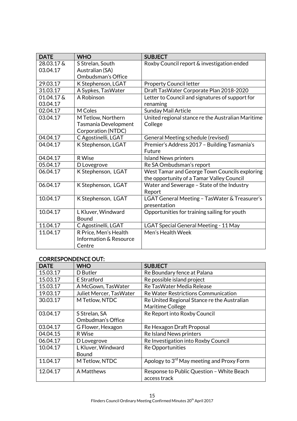| <b>DATE</b> | <b>WHO</b>             | <b>SUBJECT</b>                                    |
|-------------|------------------------|---------------------------------------------------|
| 28.03.17 &  | S Strelan, South       | Roxby Council report & investigation ended        |
| 03.04.17    | Australian (SA)        |                                                   |
|             | Ombudsman's Office     |                                                   |
| 29.03.17    | K Stephenson, LGAT     | <b>Property Council letter</b>                    |
| 31.03.17    | A Sypkes, TasWater     | Draft TasWater Corporate Plan 2018-2020           |
| 01.04.17 &  | A Robinson             | Letter to Council and signatures of support for   |
| 03.04.17    |                        | renaming                                          |
| 02.04.17    | M Coles                | Sunday Mail Article                               |
| 03.04.17    | M Tetlow, Northern     | United regional stance re the Australian Maritime |
|             | Tasmania Development   | College                                           |
|             | Corporation (NTDC)     |                                                   |
| 04.04.17    | C Agostinelli, LGAT    | General Meeting schedule (revised)                |
| 04.04.17    | K Stephenson, LGAT     | Premier's Address 2017 - Building Tasmania's      |
|             |                        | Future                                            |
| 04.04.17    | R Wise                 | <b>Island News printers</b>                       |
| 05.04.17    | D Lovegrove            | Re SA Ombudsman's report                          |
| 06.04.17    | K Stephenson, LGAT     | West Tamar and George Town Councils exploring     |
|             |                        | the opportunity of a Tamar Valley Council         |
| 06.04.17    | K Stephenson, LGAT     | Water and Sewerage - State of the Industry        |
|             |                        | Report                                            |
| 10.04.17    | K Stephenson, LGAT     | LGAT General Meeting - TasWater & Treasurer's     |
|             |                        | presentation                                      |
| 10.04.17    | L Kluver, Windward     | Opportunities for training sailing for youth      |
|             | Bound                  |                                                   |
| 11.04.17    | C Agostinelli, LGAT    | LGAT Special General Meeting - 11 May             |
| 11.04.17    | R Price, Men's Health  | Men's Health Week                                 |
|             | Information & Resource |                                                   |
|             | Centre                 |                                                   |

# CORRESPONDENCE OUT:

| <b>DATE</b> | <b>WHO</b>              | <b>SUBJECT</b>                                        |
|-------------|-------------------------|-------------------------------------------------------|
| 15.03.17    | D Butler                | Re Boundary fence at Palana                           |
| 15.03.17    | E Stratford             | Re possible island project                            |
| 15.03.17    | A McGown, TasWater      | Re TasWater Media Release                             |
| 19.03.17    | Juliet Mercer, TasWater | Re Water Restrictions Communication                   |
| 30.03.17    | M Tetlow, NTDC          | Re United Regional Stance re the Australian           |
|             |                         | Maritime College                                      |
| 03.04.17    | S Strelan, SA           | Re Report into Roxby Council                          |
|             | Ombudman's Office       |                                                       |
| 03.04.17    | G Flower, Hexagon       | Re Hexagon Draft Proposal                             |
| 04.04.15    | R Wise                  | <b>Re Island News printers</b>                        |
| 06.04.17    | D Lovegrove             | Re Investigation into Roxby Council                   |
| 10.04.17    | L Kluver, Windward      | <b>Re Opportunities</b>                               |
|             | Bound                   |                                                       |
| 11.04.17    | M Tetlow, NTDC          | Apology to 3 <sup>rd</sup> May meeting and Proxy Form |
| 12.04.17    | A Matthews              | Response to Public Question - White Beach             |
|             |                         | access track                                          |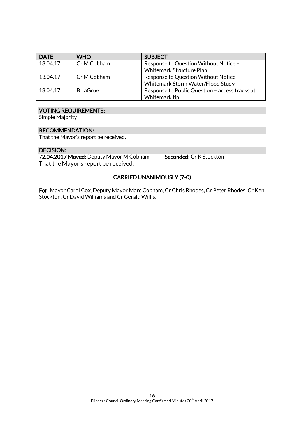| <b>DATE</b> | <b>WHO</b>      | <b>SUBJECT</b>                                                             |
|-------------|-----------------|----------------------------------------------------------------------------|
| 13.04.17    | Cr M Cobham     | Response to Question Without Notice -<br>Whitemark Structure Plan          |
| 13.04.17    | Cr M Cobham     | Response to Question Without Notice -<br>Whitemark Storm Water/Flood Study |
| 13.04.17    | <b>B</b> LaGrue | Response to Public Question - access tracks at<br>Whitemark tip            |

#### VOTING REQUIREMENTS:

Simple Majority

#### RECOMMENDATION:

That the Mayor's report be received.

#### DECISION:

72.04.2017 Moved: Deputy Mayor M Cobham Seconded: Cr K Stockton That the Mayor's report be received.

### CARRIED UNANIMOUSLY (7-0)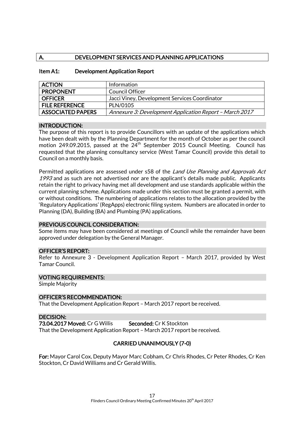# A. DEVELOPMENT SERVICES AND PLANNING APPLICATIONS

| <b>ACTION</b>            | Information                                             |
|--------------------------|---------------------------------------------------------|
| <b>PROPONENT</b>         | Council Officer                                         |
| <b>OFFICER</b>           | Jacci Viney, Development Services Coordinator           |
| <b>FILE REFERENCE</b>    | PLN/0105                                                |
| <b>ASSOCIATED PAPERS</b> | Annexure 3: Development Application Report - March 2017 |

#### Item A1: Development Application Report

#### INTRODUCTION:

The purpose of this report is to provide Councillors with an update of the applications which have been dealt with by the Planning Department for the month of October as per the council motion 249.09.2015, passed at the  $24<sup>th</sup>$  September 2015 Council Meeting. Council has requested that the planning consultancy service (West Tamar Council) provide this detail to Council on a monthly basis.

Permitted applications are assessed under s58 of the *Land Use Planning and Approvals Act* 1993 and as such are not advertised nor are the applicant's details made public. Applicants retain the right to privacy having met all development and use standards applicable within the current planning scheme. Applications made under this section must be granted a permit, with or without conditions. The numbering of applications relates to the allocation provided by the 'Regulatory Applications' (RegApps) electronic filing system. Numbers are allocated in order to Planning (DA), Building (BA) and Plumbing (PA) applications.

#### PREVIOUS COUNCIL CONSIDERATION:

Some items may have been considered at meetings of Council while the remainder have been approved under delegation by the General Manager.

#### OFFICER'S REPORT:

Refer to Annexure 3 - Development Application Report – March 2017, provided by West Tamar Council.

#### VOTING REQUIREMENTS:

Simple Majority

OFFICER'S RECOMMENDATION:

That the Development Application Report – March 2017 report be received.

#### DECISION:

73.04.2017 Moved: Cr G Willis Seconded: Cr K Stockton

That the Development Application Report – March 2017 report be received.

### CARRIED UNANIMOUSLY (7-0)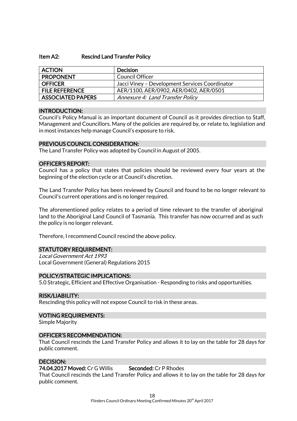#### Item A2: Rescind Land Transfer Policy

| <b>ACTION</b>            | <b>Decision</b>                                |
|--------------------------|------------------------------------------------|
| <b>PROPONENT</b>         | Council Officer                                |
| <b>OFFICER</b>           | Jacci Viney - Development Services Coordinator |
| <b>FILE REFERENCE</b>    | AER/1100, AER/0902, AER/0402, AER/0501         |
| <b>ASSOCIATED PAPERS</b> | <b>Annexure 4: Land Transfer Policy</b>        |

#### INTRODUCTION:

Council's Policy Manual is an important document of Council as it provides direction to Staff, Management and Councillors. Many of the policies are required by, or relate to, legislation and in most instances help manage Council's exposure to risk.

#### PREVIOUS COUNCIL CONSIDERATION:

The Land Transfer Policy was adopted by Council in August of 2005.

#### OFFICER'S REPORT:

Council has a policy that states that policies should be reviewed every four years at the beginning of the election cycle or at Council's discretion.

The Land Transfer Policy has been reviewed by Council and found to be no longer relevant to Council's current operations and is no longer required.

The aforementioned policy relates to a period of time relevant to the transfer of aboriginal land to the Aboriginal Land Council of Tasmania. This transfer has now occurred and as such the policy is no longer relevant.

Therefore, I recommend Council rescind the above policy.

#### STATUTORY REQUIREMENT:

Local Government Act 1993 Local Government (General) Regulations 2015

#### POLICY/STRATEGIC IMPLICATIONS:

5.0 Strategic, Efficient and Effective Organisation - Responding to risks and opportunities.

#### RISK/LIABILITY:

Rescinding this policy will not expose Council to risk in these areas.

#### VOTING REQUIREMENTS:

Simple Majority

#### OFFICER'S RECOMMENDATION:

That Council rescinds the Land Transfer Policy and allows it to lay on the table for 28 days for public comment.

#### DECISION:

#### 74.04.2017 Moved: Cr G Willis Seconded: Cr P Rhodes

That Council rescinds the Land Transfer Policy and allows it to lay on the table for 28 days for public comment.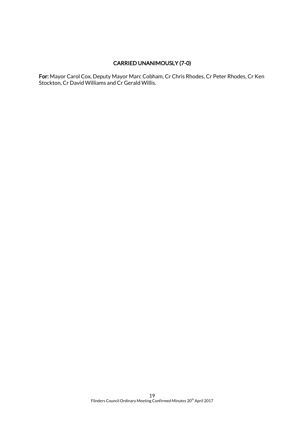# CARRIED UNANIMOUSLY (7-0)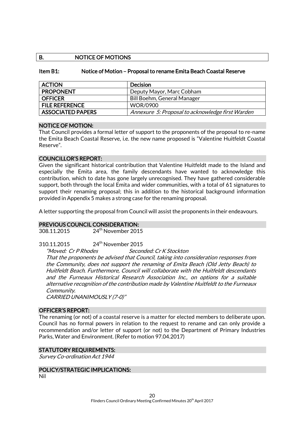#### B. NOTICE OF MOTIONS

#### Item B1: Notice of Motion – Proposal to rename Emita Beach Coastal Reserve

| <b>ACTION</b>            | <b>Decision</b>                                  |
|--------------------------|--------------------------------------------------|
| <b>PROPONENT</b>         | Deputy Mayor, Marc Cobham                        |
| <b>OFFICER</b>           | Bill Boehm, General Manager                      |
| <b>FILE REFERENCE</b>    | <b>WOR/0900</b>                                  |
| <b>ASSOCIATED PAPERS</b> | Annexure 5: Proposal to acknowledge first Warden |

#### NOTICE OF MOTION:

That Council provides a formal letter of support to the proponents of the proposal to re-name the Emita Beach Coastal Reserve, i.e. the new name proposed is "Valentine Huitfeldt Coastal Reserve".

#### COUNCILLOR'S REPORT:

Given the significant historical contribution that Valentine Huitfeldt made to the Island and especially the Emita area, the family descendants have wanted to acknowledge this contribution, which to date has gone largely unrecognised. They have gathered considerable support, both through the local Emita and wider communities, with a total of 61 signatures to support their renaming proposal; this in addition to the historical background information provided in Appendix 5 makes a strong case for the renaming proposal.

A letter supporting the proposal from Council will assist the proponents in their endeavours.

#### PREVIOUS COUNCIL CONSIDERATION:

308.11.2015 24th November 2015

310.11.2015 24th November 2015

"Moved: Cr P Rhodes Seconded: Cr K Stockton

That the proponents be advised that Council, taking into consideration responses from the Community, does not support the renaming of Emita Beach (Old Jetty Beach) to Huitfeldt Beach. Furthermore, Council will collaborate with the Huitfeldt descendants and the Furneaux Historical Research Association Inc., on options for a suitable alternative recognition of the contribution made by Valentine Huitfeldt to the Furneaux Community.

CARRIED UNANIMOUSLY (7-0)"

#### OFFICER'S REPORT:

The renaming (or not) of a coastal reserve is a matter for elected members to deliberate upon. Council has no formal powers in relation to the request to rename and can only provide a recommendation and/or letter of support (or not) to the Department of Primary Industries Parks, Water and Environment. (Refer to motion 97.04.2017)

#### STATUTORY REQUIREMENTS:

Survey Co-ordination Act 1944

#### POLICY/STRATEGIC IMPLICATIONS:

Nil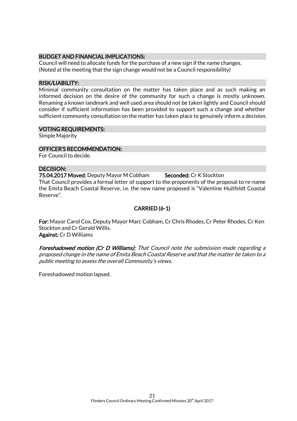#### BUDGET AND FINANCIAL IMPLICATIONS:

Council will need to allocate funds for the purchase of a new sign if the name changes. (Noted at the meeting that the sign change would not be a Council responsibility)

#### RISK/LIABILITY:

Minimal community consultation on the matter has taken place and as such making an informed decision on the desire of the community for such a change is mostly unknown. Renaming a known landmark and well used area should not be taken lightly and Council should consider if sufficient information has been provided to support such a change and whether sufficient community consultation on the matter has taken place to genuinely inform a decision.

#### VOTING REQUIREMENTS:

Simple Majority

#### OFFICER'S RECOMMENDATION:

For Council to decide.

#### DECISION:

75.04.2017 Moved: Deputy Mayor M Cobham Seconded: Cr K Stockton That Council provides a formal letter of support to the proponents of the proposal to re-name the Emita Beach Coastal Reserve, i.e. the new name proposed is "Valentine Huitfeldt Coastal Reserve".

# CARRIED (6-1)

For: Mayor Carol Cox, Deputy Mayor Marc Cobham, Cr Chris Rhodes, Cr Peter Rhodes, Cr Ken Stockton and Cr Gerald Willis. Against: Cr D Williams

Foreshadowed motion (Cr D Williams): That Council note the submission made regarding a proposed change in the name of Emita Beach Coastal Reserve and that the matter be taken to a public meeting to assess the overall Community's views.

Foreshadowed motion lapsed.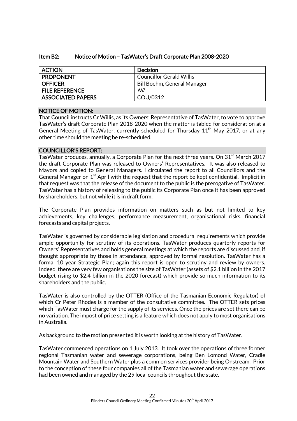| Item B2: |  | Notice of Motion – TasWater's Draft Corporate Plan 2008-2020 |
|----------|--|--------------------------------------------------------------|
|          |  |                                                              |

| <b>ACTION</b>            | <b>Decision</b>             |
|--------------------------|-----------------------------|
| <b>PROPONENT</b>         | Councillor Gerald Willis    |
| <b>OFFICER</b>           | Bill Boehm, General Manager |
| <b>FILE REFERENCE</b>    | Nil                         |
| <b>ASSOCIATED PAPERS</b> | COU/0312                    |

### NOTICE OF MOTION:

That Council instructs Cr Willis, as its Owners' Representative of TasWater, to vote to approve TasWater's draft Corporate Plan 2018-2020 when the matter is tabled for consideration at a General Meeting of TasWater, currently scheduled for Thursday  $11<sup>th</sup>$  May 2017, or at any other time should the meeting be re-scheduled.

#### COUNCILLOR'S REPORT:

TasWater produces, annually, a Corporate Plan for the next three years. On 31<sup>st</sup> March 2017 the draft Corporate Plan was released to Owners' Representatives. It was also released to Mayors and copied to General Managers. I circulated the report to all Councillors and the General Manager on  $1<sup>st</sup>$  April with the request that the report be kept confidential. Implicit in that request was that the release of the document to the public is the prerogative of TasWater. TasWater has a history of releasing to the public its Corporate Plan once it has been approved by shareholders, but not while it is in draft form.

The Corporate Plan provides information on matters such as but not limited to key achievements, key challenges, performance measurement, organisational risks, financial forecasts and capital projects.

TasWater is governed by considerable legislation and procedural requirements which provide ample opportunity for scrutiny of its operations. TasWater produces quarterly reports for Owners' Representatives and holds general meetings at which the reports are discussed and, if thought appropriate by those in attendance, approved by formal resolution. TasWater has a formal 10 year Strategic Plan; again this report is open to scrutiny and review by owners. Indeed, there are very few organisations the size of TasWater (assets of \$2.1 billion in the 2017 budget rising to \$2.4 billion in the 2020 forecast) which provide so much information to its shareholders and the public.

TasWater is also controlled by the OTTER (Office of the Tasmanian Economic Regulator) of which Cr Peter Rhodes is a member of the consultative committee. The OTTER sets prices which TasWater must charge for the supply of its services. Once the prices are set there can be no variation. The impost of price setting is a feature which does not apply to most organisations in Australia.

As background to the motion presented it is worth looking at the history of TasWater.

TasWater commenced operations on 1 July 2013. It took over the operations of three former regional Tasmanian water and sewerage corporations, being Ben Lomond Water, Cradle Mountain Water and Southern Water plus a common services provider being Onstream. Prior to the conception of these four companies all of the Tasmanian water and sewerage operations had been owned and managed by the 29 local councils throughout the state.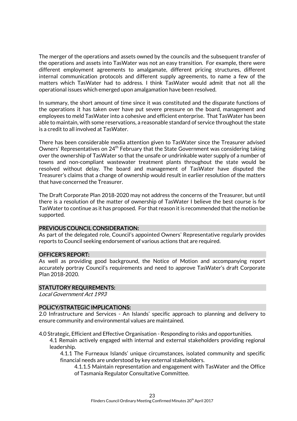The merger of the operations and assets owned by the councils and the subsequent transfer of the operations and assets into TasWater was not an easy transition. For example, there were different employment agreements to amalgamate, different pricing structures, different internal communication protocols and different supply agreements, to name a few of the matters which TasWater had to address. I think TasWater would admit that not all the operational issues which emerged upon amalgamation have been resolved.

In summary, the short amount of time since it was constituted and the disparate functions of the operations it has taken over have put severe pressure on the board, management and employees to meld TasWater into a cohesive and efficient enterprise. That TasWater has been able to maintain, with some reservations, a reasonable standard of service throughout the state is a credit to all involved at TasWater.

There has been considerable media attention given to TasWater since the Treasurer advised Owners' Representatives on 24<sup>th</sup> February that the State Government was considering taking over the ownership of TasWater so that the unsafe or undrinkable water supply of a number of towns and non-compliant wastewater treatment plants throughout the state would be resolved without delay. The board and management of TasWater have disputed the Treasurer's claims that a change of ownership would result in earlier resolution of the matters that have concerned the Treasurer.

The Draft Corporate Plan 2018-2020 may not address the concerns of the Treasurer, but until there is a resolution of the matter of ownership of TasWater I believe the best course is for TasWater to continue as it has proposed. For that reason it is recommended that the motion be supported.

#### PREVIOUS COUNCIL CONSIDERATION:

As part of the delegated role, Council's appointed Owners' Representative regularly provides reports to Council seeking endorsement of various actions that are required.

#### OFFICER'S REPORT:

As well as providing good background, the Notice of Motion and accompanying report accurately portray Council's requirements and need to approve TasWater's draft Corporate Plan 2018-2020.

#### STATUTORY REQUIREMENTS:

Local Government Act 1993

#### POLICY/STRATEGIC IMPLICATIONS:

2.0 Infrastructure and Services - An Islands' specific approach to planning and delivery to ensure community and environmental values are maintained.

4.0 Strategic, Efficient and Effective Organisation - Responding to risks and opportunities.

4.1 Remain actively engaged with internal and external stakeholders providing regional leadership.

4.1.1 The Furneaux Islands' unique circumstances, isolated community and specific financial needs are understood by key external stakeholders.

4.1.1.5 Maintain representation and engagement with TasWater and the Office of Tasmania Regulator Consultative Committee.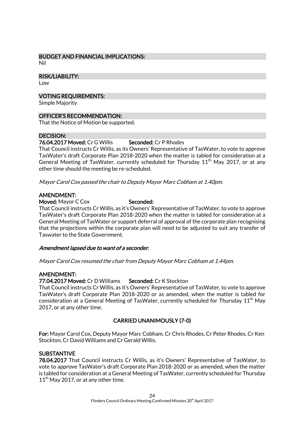# BUDGET AND FINANCIAL IMPLICATIONS:

Nil

#### RISK/LIABILITY:

Low

#### VOTING REQUIREMENTS:

Simple Majority

#### OFFICER'S RECOMMENDATION:

That the Notice of Motion be supported.

#### DECISION:

#### 76.04.2017 Moved: Cr G Willis Seconded: Cr P Rhodes

That Council instructs Cr Willis, as its Owners' Representative of TasWater, to vote to approve TasWater's draft Corporate Plan 2018-2020 when the matter is tabled for consideration at a General Meeting of TasWater, currently scheduled for Thursday  $11<sup>th</sup>$  May 2017, or at any other time should the meeting be re-scheduled.

Mayor Carol Cox passed the chair to Deputy Mayor Marc Cobham at 1.40pm.

### AMENDMENT:

Moved: Mayor C Cox Seconded:

That Council instructs Cr Willis, as it's Owners' Representative of TasWater, to vote to approve TasWater's draft Corporate Plan 2018-2020 when the matter is tabled for consideration at a General Meeting of TasWater or support deferral of approval of the corporate plan recognising that the projections within the corporate plan will need to be adjusted to suit any transfer of Taswater to the State Government.

#### Amendment lapsed due to want of a seconder.

Mayor Carol Cox resumed the chair from Deputy Mayor Marc Cobham at 1.44pm.

#### AMENDMENT:

#### 77.04.2017 Moved: Cr D Williams Seconded: Cr K Stockton

That Council instructs Cr Willis, as it's Owners' Representative of TasWater, to vote to approve TasWater's draft Corporate Plan 2018-2020 or as amended, when the matter is tabled for consideration at a General Meeting of TasWater, currently scheduled for Thursday  $11<sup>th</sup>$  May 2017, or at any other time.

### CARRIED UNANIMOUSLY (7-0)

For: Mayor Carol Cox, Deputy Mayor Marc Cobham, Cr Chris Rhodes, Cr Peter Rhodes, Cr Ken Stockton, Cr David Williams and Cr Gerald Willis.

### **SUBSTANTIVE**

78.04.2017 That Council instructs Cr Willis, as it's Owners' Representative of TasWater, to vote to approve TasWater's draft Corporate Plan 2018-2020 or as amended, when the matter is tabled for consideration at a General Meeting of TasWater, currently scheduled for Thursday  $11<sup>th</sup>$  May 2017, or at any other time.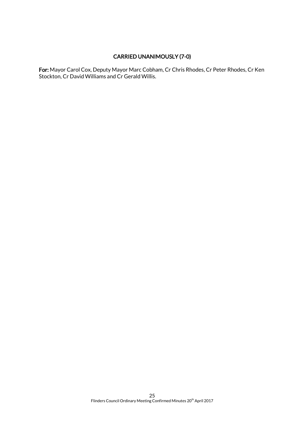# CARRIED UNANIMOUSLY (7-0)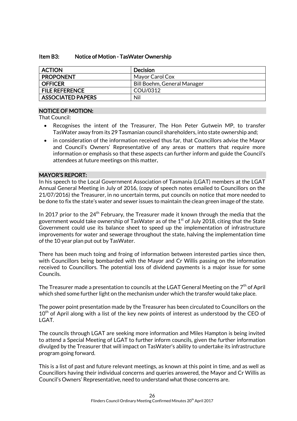#### Item B3: Notice of Motion - TasWater Ownership

| <b>ACTION</b>            | <b>Decision</b>             |
|--------------------------|-----------------------------|
| <b>PROPONENT</b>         | Mayor Carol Cox             |
| <b>OFFICER</b>           | Bill Boehm, General Manager |
| <b>FILE REFERENCE</b>    | COU/0312                    |
| <b>ASSOCIATED PAPERS</b> | Nil                         |

### NOTICE OF MOTION:

That Council:

- Recognises the intent of the Treasurer, The Hon Peter Gutwein MP, to transfer TasWater away from its 29 Tasmanian council shareholders, into state ownership and;
- in consideration of the information received thus far, that Councillors advise the Mayor and Council's Owners' Representative of any areas or matters that require more information or emphasis so that these aspects can further inform and guide the Council's attendees at future meetings on this matter.

#### MAYOR'S REPORT:

In his speech to the Local Government Association of Tasmania (LGAT) members at the LGAT Annual General Meeting in July of 2016, (copy of speech notes emailed to Councillors on the 21/07/2016) the Treasurer, in no uncertain terms, put councils on notice that more needed to be done to fix the state's water and sewer issues to maintain the clean green image of the state.

In 2017 prior to the  $24<sup>th</sup>$  February, the Treasurer made it known through the media that the government would take ownership of TasWater as of the  $1<sup>st</sup>$  of July 2018, citing that the State Government could use its balance sheet to speed up the implementation of infrastructure improvements for water and sewerage throughout the state, halving the implementation time of the 10 year plan put out by TasWater.

There has been much toing and froing of information between interested parties since then, with Councillors being bombarded with the Mayor and Cr Willis passing on the information received to Councillors. The potential loss of dividend payments is a major issue for some Councils.

The Treasurer made a presentation to councils at the LGAT General Meeting on the  $7<sup>th</sup>$  of April which shed some further light on the mechanism under which the transfer would take place.

The power point presentation made by the Treasurer has been circulated to Councillors on the  $10<sup>th</sup>$  of April along with a list of the key new points of interest as understood by the CEO of LGAT.

The councils through LGAT are seeking more information and Miles Hampton is being invited to attend a Special Meeting of LGAT to further inform councils, given the further information divulged by the Treasurer that will impact on TasWater's ability to undertake its infrastructure program going forward.

This is a list of past and future relevant meetings, as known at this point in time, and as well as Councillors having their individual concerns and queries answered, the Mayor and Cr Willis as Council's Owners' Representative, need to understand what those concerns are.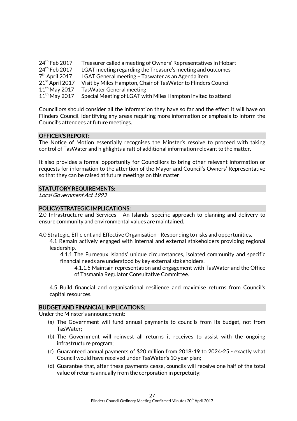| 24 <sup>th</sup> Feb 2017 | Treasurer called a meeting of Owners' Representatives in Hobart |
|---------------------------|-----------------------------------------------------------------|
| 24 <sup>th</sup> Feb 2017 | LGAT meeting regarding the Treasure's meeting and outcomes      |
| $7th$ April 2017          | LGAT General meeting - Taswater as an Agenda item               |
| $21st$ April 2017         | Visit by Miles Hampton, Chair of TasWater to Flinders Council   |
| $11th$ May 2017           | Tas Water General meeting                                       |
| $11th$ May 2017           | Special Meeting of LGAT with Miles Hampton invited to attend    |

Councillors should consider all the information they have so far and the effect it will have on Flinders Council, identifying any areas requiring more information or emphasis to inform the Council's attendees at future meetings.

#### OFFICER'S REPORT:

The Notice of Motion essentially recognises the Minster's resolve to proceed with taking control of TasWater and highlights a raft of additional information relevant to the matter.

It also provides a formal opportunity for Councillors to bring other relevant information or requests for information to the attention of the Mayor and Council's Owners' Representative so that they can be raised at future meetings on this matter

#### STATUTORY REQUIREMENTS:

Local Government Act 1993

#### POLICY/STRATEGIC IMPLICATIONS:

2.0 Infrastructure and Services - An Islands' specific approach to planning and delivery to ensure community and environmental values are maintained.

4.0 Strategic, Efficient and Effective Organisation - Responding to risks and opportunities.

4.1 Remain actively engaged with internal and external stakeholders providing regional leadership.

4.1.1 The Furneaux Islands' unique circumstances, isolated community and specific financial needs are understood by key external stakeholders.

4.1.1.5 Maintain representation and engagement with TasWater and the Office of Tasmania Regulator Consultative Committee.

4.5 Build financial and organisational resilience and maximise returns from Council's capital resources.

#### BUDGET AND FINANCIAL IMPLICATIONS:

Under the Minster's announcement:

- (a) The Government will fund annual payments to councils from its budget, not from TasWater;
- (b) The Government will reinvest all returns it receives to assist with the ongoing infrastructure program;
- (c) Guaranteed annual payments of \$20 million from 2018-19 to 2024-25 exactly what Council would have received under TasWater's 10 year plan;
- (d) Guarantee that, after these payments cease, councils will receive one half of the total value of returns annually from the corporation in perpetuity;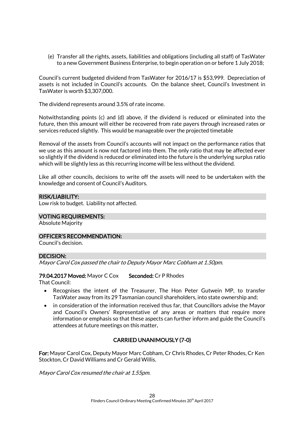(e) Transfer all the rights, assets, liabilities and obligations (including all staff) of TasWater to a new Government Business Enterprise, to begin operation on or before 1 July 2018;

Council's current budgeted dividend from TasWater for 2016/17 is \$53,999. Depreciation of assets is not included in Council's accounts. On the balance sheet, Council's Investment in TasWater is worth \$3,307,000.

The dividend represents around 3.5% of rate income.

Notwithstanding points (c) and (d) above, if the dividend is reduced or eliminated into the future, then this amount will either be recovered from rate payers through increased rates or services reduced slightly. This would be manageable over the projected timetable

Removal of the assets from Council's accounts will not impact on the performance ratios that we use as this amount is now not factored into them. The only ratio that may be affected ever so slightly if the dividend is reduced or eliminated into the future is the underlying surplus ratio which will be slightly less as this recurring income will be less without the dividend.

Like all other councils, decisions to write off the assets will need to be undertaken with the knowledge and consent of Council's Auditors.

#### RISK/LIABILITY:

Low risk to budget. Liability not affected.

#### VOTING REQUIREMENTS:

Absolute Majority

#### OFFICER'S RECOMMENDATION:

Council's decision.

#### DECISION:

Mayor Carol Cox passed the chair to Deputy Mayor Marc Cobham at 1.50pm.

#### 79.04.2017 Moved: Mayor C Cox Seconded: Cr P Rhodes

That Council:

- Recognises the intent of the Treasurer, The Hon Peter Gutwein MP, to transfer TasWater away from its 29 Tasmanian council shareholders, into state ownership and;
- in consideration of the information received thus far, that Councillors advise the Mayor and Council's Owners' Representative of any areas or matters that require more information or emphasis so that these aspects can further inform and guide the Council's attendees at future meetings on this matter.

### CARRIED UNANIMOUSLY (7-0)

For: Mayor Carol Cox, Deputy Mayor Marc Cobham, Cr Chris Rhodes, Cr Peter Rhodes, Cr Ken Stockton, Cr David Williams and Cr Gerald Willis.

Mayor Carol Cox resumed the chair at 1.55pm.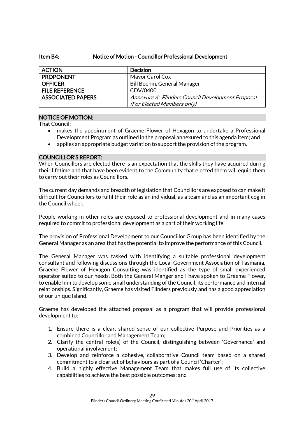#### Item B4: Notice of Motion - Councillor Professional Development

| <b>ACTION</b>            | <b>Decision</b>                                   |
|--------------------------|---------------------------------------------------|
| <b>PROPONENT</b>         | Mayor Carol Cox                                   |
| <b>OFFICER</b>           | Bill Boehm, General Manager                       |
| <b>FILE REFERENCE</b>    | CDV/0400                                          |
| <b>ASSOCIATED PAPERS</b> | Annexure 6: Flinders Council Development Proposal |
|                          | (For Elected Members only)                        |

#### NOTICE OF MOTION:

That Council:

- makes the appointment of Graeme Flower of Hexagon to undertake a Professional Development Program as outlined in the proposal annexured to this agenda item; and
- applies an appropriate budget variation to support the provision of the program.

#### COUNCILLOR'S REPORT:

When Councillors are elected there is an expectation that the skills they have acquired during their lifetime and that have been evident to the Community that elected them will equip them to carry out their roles as Councillors.

The current day demands and breadth of legislation that Councillors are exposed to can make it difficult for Councillors to fulfil their role as an individual, as a team and as an important cog in the Council wheel.

People working in other roles are exposed to professional development and in many cases required to commit to professional development as a part of their working life.

The provision of Professional Development to our Councillor Group has been identified by the General Manager as an area that has the potential to improve the performance of this Council.

The General Manager was tasked with identifying a suitable professional development consultant and following discussions through the Local Government Association of Tasmania, Graeme Flower of Hexagon Consulting was identified as the type of small experienced operator suited to our needs. Both the General Manger and I have spoken to Graeme Flower, to enable him to develop some small understanding of the Council, its performance and internal relationships. Significantly, Graeme has visited Flinders previously and has a good appreciation of our unique Island.

Graeme has developed the attached proposal as a program that will provide professional development to:

- 1. Ensure there is a clear, shared sense of our collective Purpose and Priorities as a combined Councillor and Management Team;
- 2. Clarify the central role(s) of the Council, distinguishing between 'Governance' and operational involvement;
- 3. Develop and reinforce a cohesive, collaborative Council team based on a shared commitment to a clear set of behaviours as part of a Council 'Charter';
- 4. Build a highly effective Management Team that makes full use of its collective capabilities to achieve the best possible outcomes; and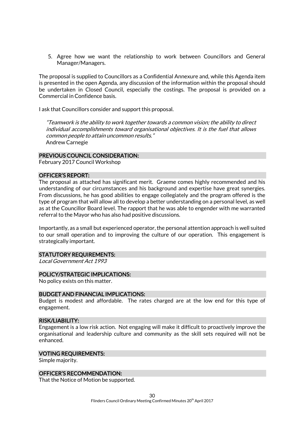5. Agree how we want the relationship to work between Councillors and General Manager/Managers.

The proposal is supplied to Councillors as a Confidential Annexure and, while this Agenda item is presented in the open Agenda, any discussion of the information within the proposal should be undertaken in Closed Council, especially the costings. The proposal is provided on a Commercial in Confidence basis.

I ask that Councillors consider and support this proposal.

"Teamwork is the ability to work together towards a common vision; the ability to direct individual accomplishments toward organisational objectives. It is the fuel that allows common people to attain uncommon results." Andrew Carnegie

#### PREVIOUS COUNCIL CONSIDERATION:

February 2017 Council Workshop

#### OFFICER'S REPORT:

The proposal as attached has significant merit. Graeme comes highly recommended and his understanding of our circumstances and his background and expertise have great synergies. From discussions, he has good abilities to engage collegiately and the program offered is the type of program that will allow all to develop a better understanding on a personal level, as well as at the Councillor Board level. The rapport that he was able to engender with me warranted referral to the Mayor who has also had positive discussions.

Importantly, as a small but experienced operator, the personal attention approach is well suited to our small operation and to improving the culture of our operation. This engagement is strategically important.

#### STATUTORY REQUIREMENTS:

Local Government Act 1993

#### POLICY/STRATEGIC IMPLICATIONS:

No policy exists on this matter.

#### BUDGET AND FINANCIAL IMPLICATIONS:

Budget is modest and affordable. The rates charged are at the low end for this type of engagement.

#### RISK/LIABILITY:

Engagement is a low risk action. Not engaging will make it difficult to proactively improve the organisational and leadership culture and community as the skill sets required will not be enhanced.

#### VOTING REQUIREMENTS:

Simple majority.

#### OFFICER'S RECOMMENDATION:

That the Notice of Motion be supported.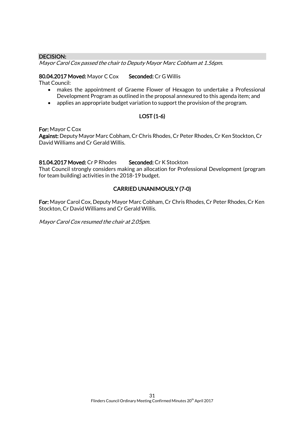#### DECISION:

Mayor Carol Cox passed the chair to Deputy Mayor Marc Cobham at 1.56pm.

#### 80.04.2017 Moved: Mayor C Cox Seconded: Cr G Willis

That Council:

- makes the appointment of Graeme Flower of Hexagon to undertake a Professional Development Program as outlined in the proposal annexured to this agenda item; and
- applies an appropriate budget variation to support the provision of the program.

### LOST (1-6)

For: Mayor C Cox

Against: Deputy Mayor Marc Cobham, Cr Chris Rhodes, Cr Peter Rhodes, Cr Ken Stockton, Cr David Williams and Cr Gerald Willis.

#### 81.04.2017 Moved: Cr P Rhodes Seconded: Cr K Stockton

That Council strongly considers making an allocation for Professional Development (program for team building) activities in the 2018-19 budget.

### CARRIED UNANIMOUSLY (7-0)

For: Mayor Carol Cox, Deputy Mayor Marc Cobham, Cr Chris Rhodes, Cr Peter Rhodes, Cr Ken Stockton, Cr David Williams and Cr Gerald Willis.

Mayor Carol Cox resumed the chair at 2.05pm.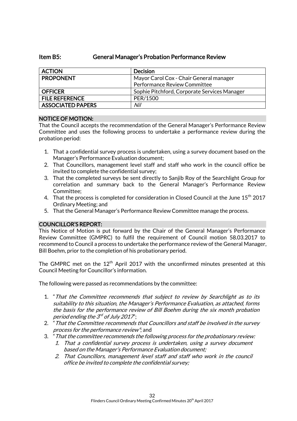# Item B5: General Manager's Probation Performance Review

| <b>ACTION</b>            | <b>Decision</b>                              |
|--------------------------|----------------------------------------------|
| <b>PROPONENT</b>         | Mayor Carol Cox - Chair General manager      |
|                          | Performance Review Committee                 |
| <b>OFFICER</b>           | Sophie Pitchford, Corporate Services Manager |
| <b>FILE REFERENCE</b>    | PER/1500                                     |
| <b>ASSOCIATED PAPERS</b> | Nil                                          |

#### NOTICE OF MOTION:

That the Council accepts the recommendation of the General Manager's Performance Review Committee and uses the following process to undertake a performance review during the probation period:

- 1. That a confidential survey process is undertaken, using a survey document based on the Manager's Performance Evaluation document;
- 2. That Councillors, management level staff and staff who work in the council office be invited to complete the confidential survey;
- 3. That the completed surveys be sent directly to Sanjib Roy of the Searchlight Group for correlation and summary back to the General Manager's Performance Review Committee;
- 4. That the process is completed for consideration in Closed Council at the June 15<sup>th</sup> 2017 Ordinary Meeting; and
- 5. That the General Manager's Performance Review Committee manage the process.

#### COUNCILLOR'S REPORT:

This Notice of Motion is put forward by the Chair of the General Manager's Performance Review Committee (GMPRC) to fulfil the requirement of Council motion 58.03.2017 to recommend to Council a process to undertake the performance review of the General Manager, Bill Boehm, prior to the completion of his probationary period.

The GMPRC met on the  $12<sup>th</sup>$  April 2017 with the unconfirmed minutes presented at this Council Meeting for Councillor's information.

The following were passed as recommendations by the committee:

- 1. "That the Committee recommends that subject to review by Searchlight as to its suitability to this situation, the Manager's Performance Evaluation, as attached, forms the basis for the performance review of Bill Boehm during the six month probation period ending the  $\mathcal{S}^d$  of July 2017";
- 2. "That the Committee recommends that Councillors and staff be involved in the survey process for the performance review"; and
- 3. "That the committee recommends the following process for the probationary review:
	- 1. That a confidential survey process is undertaken, using a survey document based on the Manager's Performance Evaluation document;
	- 2. That Councillors, management level staff and staff who work in the council office be invited to complete the confidential survey;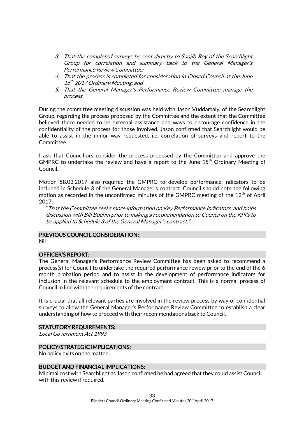- 3. That the completed surveys be sent directly to Sanjib Roy of the Searchlight Group for correlation and summary back to the General Manager's Performance Review Committee;
- 4. That the process is completed for consideration in Closed Council at the June 15<sup>th</sup> 2017 Ordinary Meeting; and
- 5. That the General Manager's Performance Review Committee manage the process. "

During the committee meeting discussion was held with Jason Vuddamaly, of the Searchlight Group, regarding the process proposed by the Committee and the extent that the Committee believed there needed to be external assistance and ways to encourage confidence in the confidentiality of the process for those involved. Jason confirmed that Searchlight would be able to assist in the minor way requested, i.e. correlation of surveys and report to the Committee.

I ask that Councillors consider the process proposed by the Committee and approve the GMPRC to undertake the review and have a report to the June  $15<sup>th</sup>$  Ordinary Meeting of Council.

Motion 58.03.2017 also required the GMPRC to develop performance indicators to be included in Schedule 3 of the General Manager's contract. Council should note the following motion as recorded in the unconfirmed minutes of the GMPRC meeting of the  $12<sup>th</sup>$  of April 2017.

"That the Committee seeks more information on Key Performance Indicators, and holds discussion with Bill Boehm prior to making a recommendation to Council on the KPI's to be applied to Schedule 3 of the General Manager's contract."

#### PREVIOUS COUNCIL CONSIDERATION:

Nil

#### OFFICER'S REPORT:

The General Manager's Performance Review Committee has been asked to recommend a process(s) for Council to undertake the required performance review prior to the end of the 6 month probation period and to assist in the development of performance indicators for inclusion in the relevant schedule to the employment contract. This is a normal process of Council in line with the requirements of the contract.

It is crucial that all relevant parties are involved in the review process by way of confidential surveys to allow the General Manager's Performance Review Committee to establish a clear understanding of how to proceed with their recommendations back to Council.

#### STATUTORY REQUIREMENTS:

Local Government Act 1993

#### POLICY/STRATEGIC IMPLICATIONS:

No policy exits on the matter.

#### BUDGET AND FINANCIAL IMPLICATIONS:

Minimal cost with Searchlight as Jason confirmed he had agreed that they could assist Council with this review if required.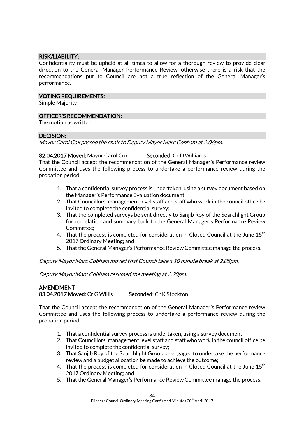#### RISK/LIABILITY:

Confidentiality must be upheld at all times to allow for a thorough review to provide clear direction to the General Manager Performance Review, otherwise there is a risk that the recommendations put to Council are not a true reflection of the General Manager's performance.

#### VOTING REQUIREMENTS:

Simple Majority

#### OFFICER'S RECOMMENDATION:

The motion as written.

#### DECISION:

Mayor Carol Cox passed the chair to Deputy Mayor Marc Cobham at 2.06pm.

#### 82.04.2017 Moved: Mayor Carol Cox Seconded: Cr D Williams

That the Council accept the recommendation of the General Manager's Performance review Committee and uses the following process to undertake a performance review during the probation period:

- 1. That a confidential survey process is undertaken, using a survey document based on the Manager's Performance Evaluation document;
- 2. That Councillors, management level staff and staff who work in the council office be invited to complete the confidential survey;
- 3. That the completed surveys be sent directly to Sanjib Roy of the Searchlight Group for correlation and summary back to the General Manager's Performance Review Committee;
- 4. That the process is completed for consideration in Closed Council at the June  $15<sup>th</sup>$ 2017 Ordinary Meeting; and
- 5. That the General Manager's Performance Review Committee manage the process.

#### Deputy Mayor Marc Cobham moved that Council take a 10 minute break at 2.08pm.

Deputy Mayor Marc Cobham resumed the meeting at 2.20pm.

# AMENDMENT 83.04.2017 Moved: Cr G Willis Seconded: Cr K Stockton

That the Council accept the recommendation of the General Manager's Performance review Committee and uses the following process to undertake a performance review during the probation period:

- 1. That a confidential survey process is undertaken, using a survey document;
- 2. That Councillors, management level staff and staff who work in the council office be invited to complete the confidential survey;
- 3. That Sanjib Roy of the Searchlight Group be engaged to undertake the performance review and a budget allocation be made to achieve the outcome;
- 4. That the process is completed for consideration in Closed Council at the June 15<sup>th</sup> 2017 Ordinary Meeting; and
- 5. That the General Manager's Performance Review Committee manage the process.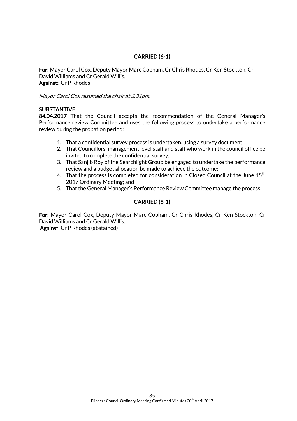# CARRIED (6-1)

For: Mayor Carol Cox, Deputy Mayor Marc Cobham, Cr Chris Rhodes, Cr Ken Stockton, Cr David Williams and Cr Gerald Willis. Against: Cr P Rhodes

Mayor Carol Cox resumed the chair at 2.31pm.

### **SUBSTANTIVE**

84.04.2017 That the Council accepts the recommendation of the General Manager's Performance review Committee and uses the following process to undertake a performance review during the probation period:

- 1. That a confidential survey process is undertaken, using a survey document;
- 2. That Councillors, management level staff and staff who work in the council office be invited to complete the confidential survey;
- 3. That Sanjib Roy of the Searchlight Group be engaged to undertake the performance review and a budget allocation be made to achieve the outcome;
- 4. That the process is completed for consideration in Closed Council at the June  $15<sup>th</sup>$ 2017 Ordinary Meeting; and
- 5. That the General Manager's Performance Review Committee manage the process.

# CARRIED (6-1)

For: Mayor Carol Cox, Deputy Mayor Marc Cobham, Cr Chris Rhodes, Cr Ken Stockton, Cr David Williams and Cr Gerald Willis.

Against: Cr P Rhodes (abstained)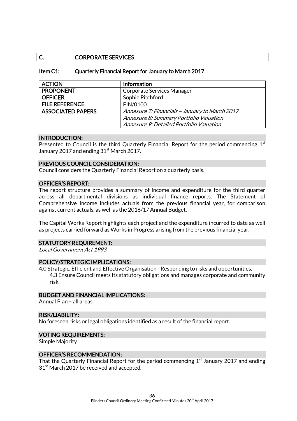#### C. **CORPORATE SERVICES**

#### Item C1: Quarterly Financial Report for January to March 2017

| <b>ACTION</b>            | <b>Information</b>                             |
|--------------------------|------------------------------------------------|
| <b>PROPONENT</b>         | Corporate Services Manager                     |
| <b>OFFICER</b>           | Sophie Pitchford                               |
| <b>FILE REFERENCE</b>    | FIN/0100                                       |
| <b>ASSOCIATED PAPERS</b> | Annexure 7: Financials - January to March 2017 |
|                          | Annexure 8: Summary Portfolio Valuation        |
|                          | Annexure 9: Detailed Portfolio Valuation       |

#### INTRODUCTION:

Presented to Council is the third Quarterly Financial Report for the period commencing  $1<sup>st</sup>$ January 2017 and ending  $31<sup>st</sup>$  March 2017.

#### PREVIOUS COUNCIL CONSIDERATION:

Council considers the Quarterly Financial Report on a quarterly basis.

#### OFFICER'S REPORT:

The report structure provides a summary of income and expenditure for the third quarter across all departmental divisions as individual finance reports. The Statement of Comprehensive Income includes actuals from the previous financial year, for comparison against current actuals, as well as the 2016/17 Annual Budget.

The Capital Works Report highlights each project and the expenditure incurred to date as well as projects carried forward as Works in Progress arising from the previous financial year.

#### STATUTORY REQUIREMENT:

Local Government Act 1993

#### POLICY/STRATEGIC IMPLICATIONS:

4.0 Strategic, Efficient and Effective Organisation - Responding to risks and opportunities. 4.3 Ensure Council meets its statutory obligations and manages corporate and community risk.

#### BUDGET AND FINANCIAL IMPLICATIONS:

Annual Plan – all areas

#### RISK/LIABILITY:

No foreseen risks or legal obligations identified as a result of the financial report.

#### VOTING REQUIREMENTS:

Simple Majority

#### OFFICER'S RECOMMENDATION:

That the Quarterly Financial Report for the period commencing  $1<sup>st</sup>$  January 2017 and ending 31<sup>st</sup> March 2017 be received and accepted.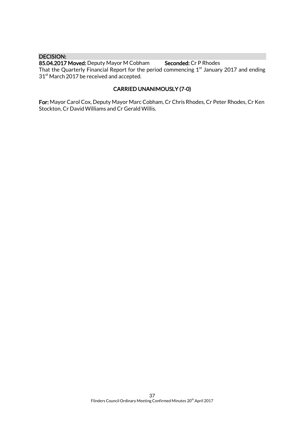#### DECISION:

85.04.2017 Moved: Deputy Mayor M Cobham Seconded: Cr P Rhodes That the Quarterly Financial Report for the period commencing  $1<sup>st</sup>$  January 2017 and ending 31<sup>st</sup> March 2017 be received and accepted.

# CARRIED UNANIMOUSLY (7-0)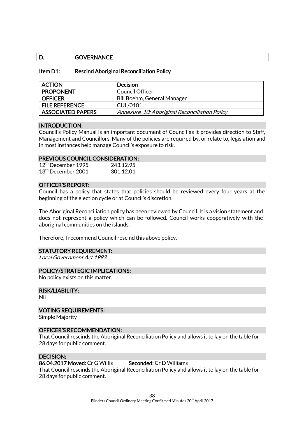#### D. GOVERNANCE

#### Item D1: Rescind Aboriginal Reconciliation Policy

| <b>ACTION</b>            | <b>Decision</b>                               |
|--------------------------|-----------------------------------------------|
| <b>PROPONENT</b>         | Council Officer                               |
| <b>OFFICER</b>           | Bill Boehm, General Manager                   |
| <b>FILE REFERENCE</b>    | CUL/0101                                      |
| <b>ASSOCIATED PAPERS</b> | Annexure 10: Aboriginal Reconciliation Policy |

#### INTRODUCTION:

Council's Policy Manual is an important document of Council as it provides direction to Staff, Management and Councillors. Many of the policies are required by, or relate to, legislation and in most instances help manage Council's exposure to risk.

#### PREVIOUS COUNCIL CONSIDERATION:

| 12 <sup>th</sup> December 1995 | 243.12.95 |
|--------------------------------|-----------|
| 13 <sup>th</sup> December 2001 | 301.12.01 |

#### OFFICER'S REPORT:

Council has a policy that states that policies should be reviewed every four years at the beginning of the election cycle or at Council's discretion.

The Aboriginal Reconciliation policy has been reviewed by Council. It is a vision statement and does not represent a policy which can be followed. Council works cooperatively with the aboriginal communities on the islands.

Therefore, I recommend Council rescind this above policy.

#### STATUTORY REQUIREMENT:

Local Government Act 1993

#### POLICY/STRATEGIC IMPLICATIONS:

No policy exists on this matter.

#### RISK/LIABILITY:

Nil

#### VOTING REQUIREMENTS:

Simple Majority

#### OFFICER'S RECOMMENDATION:

That Council rescinds the Aboriginal Reconciliation Policy and allows it to lay on the table for 28 days for public comment.

#### DECISION:

#### 86.04.2017 Moved: Cr G Willis Seconded: Cr D Williams

That Council rescinds the Aboriginal Reconciliation Policy and allows it to lay on the table for 28 days for public comment.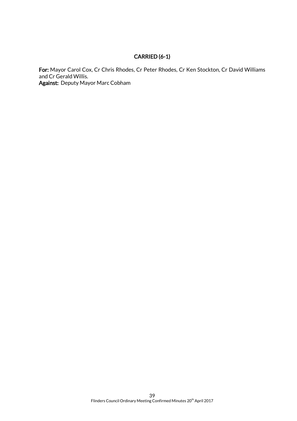# CARRIED (6-1)

For: Mayor Carol Cox, Cr Chris Rhodes, Cr Peter Rhodes, Cr Ken Stockton, Cr David Williams and Cr Gerald Willis. Against: Deputy Mayor Marc Cobham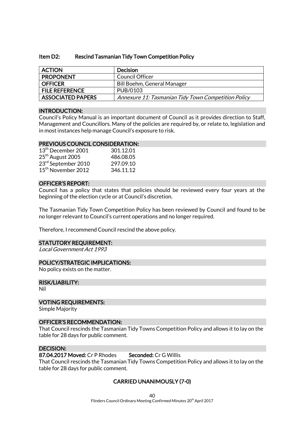#### Item D2: Rescind Tasmanian Tidy Town Competition Policy

| <b>ACTION</b>            | <b>Decision</b>                                     |
|--------------------------|-----------------------------------------------------|
| <b>PROPONENT</b>         | <b>Council Officer</b>                              |
| <b>OFFICER</b>           | Bill Boehm, General Manager                         |
| <b>FILE REFERENCE</b>    | PUB/0103                                            |
| <b>ASSOCIATED PAPERS</b> | Annexure 11: Tasmanian Tidy Town Competition Policy |

#### INTRODUCTION:

Council's Policy Manual is an important document of Council as it provides direction to Staff, Management and Councillors. Many of the policies are required by, or relate to, legislation and in most instances help manage Council's exposure to risk.

#### PREVIOUS COUNCIL CONSIDERATION:

| 13 <sup>th</sup> December 2001 | 301.12.01 |
|--------------------------------|-----------|
| 25 <sup>th</sup> August 2005   | 486.08.05 |
| 23rd September 2010            | 297.09.10 |
| 15 <sup>th</sup> November 2012 | 346.11.12 |

#### OFFICER'S REPORT:

Council has a policy that states that policies should be reviewed every four years at the beginning of the election cycle or at Council's discretion.

The Tasmanian Tidy Town Competition Policy has been reviewed by Council and found to be no longer relevant to Council's current operations and no longer required.

Therefore, I recommend Council rescind the above policy.

#### STATUTORY REQUIREMENT:

Local Government Act 1993

#### POLICY/STRATEGIC IMPLICATIONS:

No policy exists on the matter.

#### RISK/LIABILITY:

Nil

#### VOTING REQUIREMENTS:

Simple Majority

#### OFFICER'S RECOMMENDATION:

That Council rescinds the Tasmanian Tidy Towns Competition Policy and allows it to lay on the table for 28 days for public comment.

#### DECISION:

#### 87.04.2017 Moved: Cr P Rhodes Seconded: Cr G Willis

That Council rescinds the Tasmanian Tidy Towns Competition Policy and allows it to lay on the table for 28 days for public comment.

#### CARRIED UNANIMOUSLY (7-0)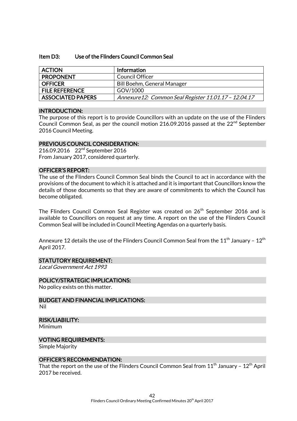#### Item D3: Use of the Flinders Council Common Seal

| <b>ACTION</b>            | <b>Information</b>                                   |
|--------------------------|------------------------------------------------------|
| <b>PROPONENT</b>         | Council Officer                                      |
| <b>OFFICER</b>           | Bill Boehm, General Manager                          |
| <b>FILE REFERENCE</b>    | GOV/1000                                             |
| <b>ASSOCIATED PAPERS</b> | Annexure12: Common Seal Register 11.01.17 - 12.04.17 |

#### INTRODUCTION:

The purpose of this report is to provide Councillors with an update on the use of the Flinders Council Common Seal, as per the council motion 216.09.2016 passed at the  $22<sup>nd</sup>$  September 2016 Council Meeting.

#### PREVIOUS COUNCIL CONSIDERATION:

216.09.2016 22nd September 2016 From January 2017, considered quarterly.

#### OFFICER'S REPORT:

The use of the Flinders Council Common Seal binds the Council to act in accordance with the provisions of the document to which it is attached and it is important that Councillors know the details of those documents so that they are aware of commitments to which the Council has become obligated.

The Flinders Council Common Seal Register was created on 26<sup>th</sup> September 2016 and is available to Councillors on request at any time. A report on the use of the Flinders Council Common Seal will be included in Council Meeting Agendas on a quarterly basis.

Annexure 12 details the use of the Flinders Council Common Seal from the 11 $^{\rm th}$  January – 12 $^{\rm th}$ April 2017.

#### STATUTORY REQUIREMENT:

Local Government Act 1993

#### POLICY/STRATEGIC IMPLICATIONS:

No policy exists on this matter.

BUDGET AND FINANCIAL IMPLICATIONS: Nil

#### RISK/LIABILITY:

Minimum

#### VOTING REQUIREMENTS:

Simple Majority

#### OFFICER'S RECOMMENDATION:

That the report on the use of the Flinders Council Common Seal from  $11<sup>th</sup>$  January -  $12<sup>th</sup>$  April 2017 be received.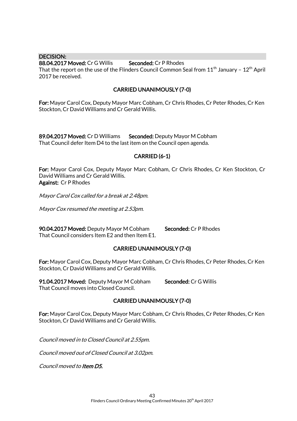DECISION: 88.04.2017 Moved: Cr G Willis Seconded: Cr P Rhodes That the report on the use of the Flinders Council Common Seal from  $11<sup>th</sup>$  January -  $12<sup>th</sup>$  April 2017 be received.

# CARRIED UNANIMOUSLY (7-0)

For: Mayor Carol Cox, Deputy Mayor Marc Cobham, Cr Chris Rhodes, Cr Peter Rhodes, Cr Ken Stockton, Cr David Williams and Cr Gerald Willis.

89.04.2017 Moved: Cr D Williams Seconded: Deputy Mayor M Cobham That Council defer Item D4 to the last item on the Council open agenda.

#### CARRIED (6-1)

For: Mayor Carol Cox, Deputy Mayor Marc Cobham, Cr Chris Rhodes, Cr Ken Stockton, Cr David Williams and Cr Gerald Willis. Against: Cr P Rhodes

Mayor Carol Cox called for a break at 2.48pm.

Mayor Cox resumed the meeting at 2.53pm.

90.04.2017 Moved: Deputy Mayor M Cobham Seconded: Cr P Rhodes That Council considers Item E2 and then Item E1.

# CARRIED UNANIMOUSLY (7-0)

For: Mayor Carol Cox, Deputy Mayor Marc Cobham, Cr Chris Rhodes, Cr Peter Rhodes, Cr Ken Stockton, Cr David Williams and Cr Gerald Willis.

91.04.2017 Moved: Deputy Mayor M Cobham Seconded: Cr G Willis That Council moves into Closed Council.

### CARRIED UNANIMOUSLY (7-0)

For: Mayor Carol Cox, Deputy Mayor Marc Cobham, Cr Chris Rhodes, Cr Peter Rhodes, Cr Ken Stockton, Cr David Williams and Cr Gerald Willis.

Council moved in to Closed Council at 2.55pm.

Council moved out of Closed Council at 3.02pm.

Council moved to Item D5.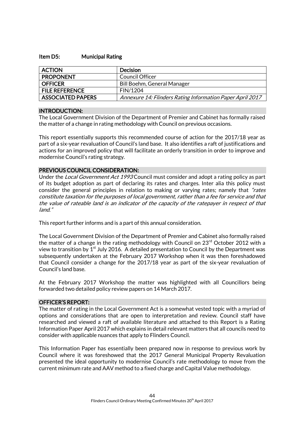#### Item D5: Municipal Rating

| <b>ACTION</b>            | <b>Decision</b>                                           |
|--------------------------|-----------------------------------------------------------|
| <b>PROPONENT</b>         | Council Officer                                           |
| <b>OFFICER</b>           | Bill Boehm, General Manager                               |
| <b>FILE REFERENCE</b>    | FIN/1204                                                  |
| <b>ASSOCIATED PAPERS</b> | Annexure 14: Flinders Rating Information Paper April 2017 |

#### INTRODUCTION:

The Local Government Division of the Department of Premier and Cabinet has formally raised the matter of a change in rating methodology with Council on previous occasions.

This report essentially supports this recommended course of action for the 2017/18 year as part of a six-year revaluation of Council's land base. It also identifies a raft of justifications and actions for an improved policy that will facilitate an orderly transition in order to improve and modernise Council's rating strategy.

#### PREVIOUS COUNCIL CONSIDERATION:

Under the *Local Government Act 1993* Council must consider and adopt a rating policy as part of its budget adoption as part of declaring its rates and charges. Inter alia this policy must consider the general principles in relation to making or varying rates; namely that "rates" constitute taxation for the purposes of local government, rather than a fee for service and that the value of rateable land is an indicator of the capacity of the ratepayer in respect of that land."

This report further informs and is a part of this annual consideration.

The Local Government Division of the Department of Premier and Cabinet also formally raised the matter of a change in the rating methodology with Council on  $23<sup>rd</sup>$  October 2012 with a view to transition by  $1<sup>st</sup>$  July 2016. A detailed presentation to Council by the Department was subsequently undertaken at the February 2017 Workshop when it was then foreshadowed that Council consider a change for the 2017/18 year as part of the six-year revaluation of Council's land base.

At the February 2017 Workshop the matter was highlighted with all Councillors being forwarded two detailed policy review papers on 14 March 2017.

#### OFFICER'S REPORT:

The matter of rating in the Local Government Act is a somewhat vested topic with a myriad of options and considerations that are open to interpretation and review. Council staff have researched and viewed a raft of available literature and attached to this Report is a Rating Information Paper April 2017 which explains in detail relevant matters that all councils need to consider with applicable nuances that apply to Flinders Council.

This Information Paper has essentially been prepared now in response to previous work by Council where it was foreshowed that the 2017 General Municipal Property Revaluation presented the ideal opportunity to modernise Council's rate methodology to move from the current minimum rate and AAV method to a fixed charge and Capital Value methodology.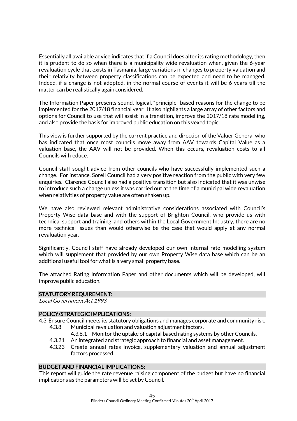Essentially all available advice indicates that if a Council does alter its rating methodology, then it is prudent to do so when there is a municipality wide revaluation when, given the 6-year revaluation cycle that exists in Tasmania, large variations in changes to property valuation and their relativity between property classifications can be expected and need to be managed. Indeed, if a change is not adopted, in the normal course of events it will be 6 years till the matter can be realistically again considered.

The Information Paper presents sound, logical, "principle" based reasons for the change to be implemented for the 2017/18 financial year. It also highlights a large array of other factors and options for Council to use that will assist in a transition, improve the 2017/18 rate modelling, and also provide the basis for improved public education on this vexed topic.

This view is further supported by the current practice and direction of the Valuer General who has indicated that once most councils move away from AAV towards Capital Value as a valuation base, the AAV will not be provided. When this occurs, revaluation costs to all Councils will reduce.

Council staff sought advice from other councils who have successfully implemented such a change. For instance, Sorell Council had a very positive reaction from the public with very few enquiries. Clarence Council also had a positive transition but also indicated that it was unwise to introduce such a change unless it was carried out at the time of a municipal wide revaluation when relativities of property value are often shaken up.

We have also reviewed relevant administrative considerations associated with Council's Property Wise data base and with the support of Brighton Council, who provide us with technical support and training, and others within the Local Government Industry, there are no more technical issues than would otherwise be the case that would apply at any normal revaluation year.

Significantly, Council staff have already developed our own internal rate modelling system which will supplement that provided by our own Property Wise data base which can be an additional useful tool for what is a very small property base.

The attached Rating Information Paper and other documents which will be developed, will improve public education.

#### STATUTORY REQUIREMENT:

Local Government Act 1993

#### POLICY/STRATEGIC IMPLICATIONS:

- 4.3 Ensure Council meets its statutory obligations and manages corporate and community risk.
	- 4.3.8 Municipal revaluation and valuation adjustment factors.
		- 4.3.8.1 Monitor the uptake of capital based rating systems by other Councils.
	- 4.3.21 An integrated and strategic approach to financial and asset management.
	- 4.3.23 Create annual rates invoice, supplementary valuation and annual adjustment factors processed.

### BUDGET AND FINANCIAL IMPLICATIONS:

This report will guide the rate revenue raising component of the budget but have no financial implications as the parameters will be set by Council.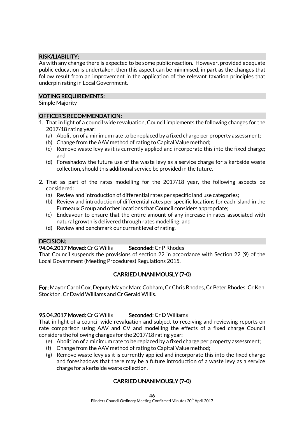#### RISK/LIABILITY:

As with any change there is expected to be some public reaction. However, provided adequate public education is undertaken, then this aspect can be minimised, in part as the changes that follow result from an improvement in the application of the relevant taxation principles that underpin rating in Local Government.

#### VOTING REQUIREMENTS:

Simple Majority

#### OFFICER'S RECOMMENDATION:

- 1. That in light of a council wide revaluation, Council implements the following changes for the 2017/18 rating year:
	- (a) Abolition of a minimum rate to be replaced by a fixed charge per property assessment;
	- (b) Change from the AAV method of rating to Capital Value method;
	- (c) Remove waste levy as it is currently applied and incorporate this into the fixed charge; and
	- (d) Foreshadow the future use of the waste levy as a service charge for a kerbside waste collection, should this additional service be provided in the future.
- 2. That as part of the rates modelling for the 2017/18 year, the following aspects be considered:
	- (a) Review and introduction of differential rates per specific land use categories;
	- (b) Review and introduction of differential rates per specific locations for each island in the Furneaux Group and other locations that Council considers appropriate;
	- (c) Endeavour to ensure that the entire amount of any increase in rates associated with natural growth is delivered through rates modelling; and
	- (d) Review and benchmark our current level of rating.

#### DECISION:

#### 94.04.2017 Moved: Cr G Willis Seconded: Cr P Rhodes

That Council suspends the provisions of section 22 in accordance with Section 22 (9) of the Local Government (Meeting Procedures) Regulations 2015.

# CARRIED UNANIMOUSLY (7-0)

For: Mayor Carol Cox, Deputy Mayor Marc Cobham, Cr Chris Rhodes, Cr Peter Rhodes, Cr Ken Stockton, Cr David Williams and Cr Gerald Willis.

#### 95.04.2017 Moved: Cr G Willis Seconded: Cr D Williams

That in light of a council wide revaluation and subject to receiving and reviewing reports on rate comparison using AAV and CV and modelling the effects of a fixed charge Council considers the following changes for the 2017/18 rating year:

- (e) Abolition of a minimum rate to be replaced by a fixed charge per property assessment;
- (f) Change from the AAV method of rating to Capital Value method;
- (g) Remove waste levy as it is currently applied and incorporate this into the fixed charge and foreshadows that there may be a future introduction of a waste levy as a service charge for a kerbside waste collection.

# CARRIED UNANIMOUSLY (7-0)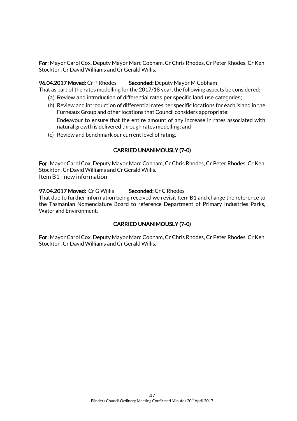For: Mayor Carol Cox, Deputy Mayor Marc Cobham, Cr Chris Rhodes, Cr Peter Rhodes, Cr Ken Stockton, Cr David Williams and Cr Gerald Willis.

#### 96.04.2017 Moved: Cr P Rhodes Seconded: Deputy Mayor M Cobham

That as part of the rates modelling for the 2017/18 year, the following aspects be considered:

- (a) Review and introduction of differential rates per specific land use categories;
- (b) Review and introduction of differential rates per specific locations for each island in the Furneaux Group and other locations that Council considers appropriate;

Endeavour to ensure that the entire amount of any increase in rates associated with natural growth is delivered through rates modelling; and

(c) Review and benchmark our current level of rating.

#### CARRIED UNANIMOUSLY (7-0)

For: Mayor Carol Cox, Deputy Mayor Marc Cobham, Cr Chris Rhodes, Cr Peter Rhodes, Cr Ken Stockton, Cr David Williams and Cr Gerald Willis. Item B1 - new information

#### 97.04.2017 Moved: Cr G Willis Seconded: Cr C Rhodes

That due to further information being received we revisit Item B1 and change the reference to the Tasmanian Nomenclature Board to reference Department of Primary Industries Parks, Water and Environment.

#### CARRIED UNANIMOUSLY (7-0)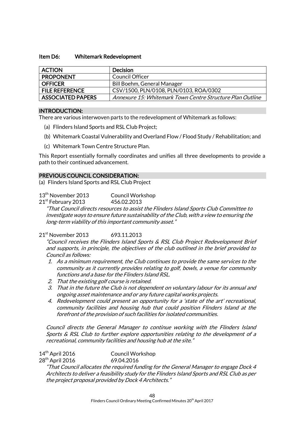#### Item D6: Whitemark Redevelopment

| <b>ACTION</b>            | <b>Decision</b>                                           |
|--------------------------|-----------------------------------------------------------|
| <b>PROPONENT</b>         | Council Officer                                           |
| <b>OFFICER</b>           | Bill Boehm, General Manager                               |
| <b>FILE REFERENCE</b>    | CSV/1500, PLN/0108, PLN/0103, ROA/0302                    |
| <b>ASSOCIATED PAPERS</b> | Annexure 15: Whitemark Town Centre Structure Plan Outline |

#### INTRODUCTION:

There are various interwoven parts to the redevelopment of Whitemark as follows:

- (a) Flinders Island Sports and RSL Club Project;
- (b) Whitemark Coastal Vulnerability and Overland Flow / Flood Study / Rehabilitation; and
- (c) Whitemark Town Centre Structure Plan.

This Report essentially formally coordinates and unifies all three developments to provide a path to their continued advancement.

#### PREVIOUS COUNCIL CONSIDERATION:

(a) Flinders Island Sports and RSL Club Project

13<sup>th</sup> November 2013 Council Workshop

21<sup>st</sup> February 2013 456.02.2013

"That Council directs resources to assist the Flinders Island Sports Club Committee to investigate ways to ensure future sustainability of the Club, with a view to ensuring the long-term viability of this important community asset."

21<sup>st</sup> November 2013 693.11.2013

"Council receives the Flinders Island Sports & RSL Club Project Redevelopment Brief and supports, in principle, the objectives of the club outlined in the brief provided to Council as follows:

- 1. As a minimum requirement, the Club continues to provide the same services to the community as it currently provides relating to golf, bowls, a venue for community functions and a base for the Flinders Island RSL.
- 2. That the existing golf course is retained.
- 3. That in the future the Club is not dependent on voluntary labour for its annual and ongoing asset maintenance and or any future capital works projects.
- 4. Redevelopment could present an opportunity for a 'state of the art' recreational, community facilities and housing hub that could position Flinders Island at the forefront of the provision of such facilities for isolated communities.

Council directs the General Manager to continue working with the Flinders Island Sports & RSL Club to further explore opportunities relating to the development of a recreational, community facilities and housing hub at the site."

14<sup>th</sup> April 2016 Council Workshop

28<sup>th</sup> April 2016 69.04.2016

"That Council allocates the required funding for the General Manager to engage Dock 4 Architects to deliver a feasibility study for the Flinders Island Sports and RSL Club as per the project proposal provided by Dock 4 Architects."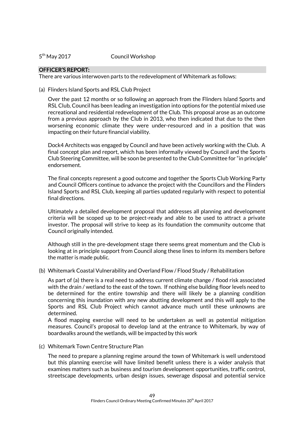$5<sup>th</sup>$  May 2017

Council Workshop

#### OFFICER'S REPORT:

There are various interwoven parts to the redevelopment of Whitemark as follows:

(a) Flinders Island Sports and RSL Club Project

Over the past 12 months or so following an approach from the Flinders Island Sports and RSL Club, Council has been leading an investigation into options for the potential mixed use recreational and residential redevelopment of the Club. This proposal arose as an outcome from a previous approach by the Club in 2013, who then indicated that due to the then worsening economic climate they were under-resourced and in a position that was impacting on their future financial viability.

Dock4 Architects was engaged by Council and have been actively working with the Club. A final concept plan and report, which has been informally viewed by Council and the Sports Club Steering Committee, will be soon be presented to the Club Committee for "in principle" endorsement.

The final concepts represent a good outcome and together the Sports Club Working Party and Council Officers continue to advance the project with the Councillors and the Flinders Island Sports and RSL Club, keeping all parties updated regularly with respect to potential final directions.

Ultimately a detailed development proposal that addresses all planning and development criteria will be scoped up to be project-ready and able to be used to attract a private investor. The proposal will strive to keep as its foundation the community outcome that Council originally intended.

Although still in the pre-development stage there seems great momentum and the Club is looking at in principle support from Council along these lines to inform its members before the matter is made public.

(b) Whitemark Coastal Vulnerability and Overland Flow / Flood Study / Rehabilitation

As part of (a) there is a real need to address current climate change / flood risk associated with the drain / wetland to the east of the town. If nothing else building floor levels need to be determined for the entire township and there will likely be a planning condition concerning this inundation with any new abutting development and this will apply to the Sports and RSL Club Project which cannot advance much until these unknowns are determined.

A flood mapping exercise will need to be undertaken as well as potential mitigation measures. Council's proposal to develop land at the entrance to Whitemark, by way of boardwalks around the wetlands, will be impacted by this work

(c) Whitemark Town Centre Structure Plan

The need to prepare a planning regime around the town of Whitemark is well understood but this planning exercise will have limited benefit unless there is a wider analysis that examines matters such as business and tourism development opportunities, traffic control, streetscape developments, urban design issues, sewerage disposal and potential service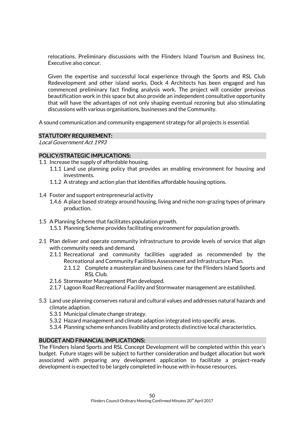relocations. Preliminary discussions with the Flinders Island Tourism and Business Inc. Executive also concur.

Given the expertise and successful local experience through the Sports and RSL Club Redevelopment and other island works, Dock 4 Architects has been engaged and has commenced preliminary fact finding analysis work. The project will consider previous beautification work in this space but also provide an independent consultative opportunity that will have the advantages of not only shaping eventual rezoning but also stimulating discussions with various organisations, businesses and the Community.

A sound communication and community engagement strategy for all projects is essential.

#### STATUTORY REQUIREMENT:

Local Government Act 1993

#### POLICY/STRATEGIC IMPLICATIONS:

- 1.1 Increase the supply of affordable housing.
	- 1.1.1 Land use planning policy that provides an enabling environment for housing and investments.
	- 1.1.2 A strategy and action plan that identifies affordable housing options.
- 1.4 Foster and support entrepreneurial activity
	- 1.4.6 A place based strategy around housing, living and niche non-grazing types of primary production.
- 1.5 A Planning Scheme that facilitates population growth.
	- 1.5.1 Planning Scheme provides facilitating environment for population growth.
- 2.1 Plan deliver and operate community infrastructure to provide levels of service that align with community needs and demand.
	- 2.1.1 Recreational and community facilities upgraded as recommended by the Recreational and Community Facilities Assessment and Infrastructure Plan.
		- 2.1.1.2 Complete a masterplan and business case for the Flinders Island Sports and RSL Club.
	- 2.1.6 Stormwater Management Plan developed.
	- 2.1.7 Lagoon Road Recreational Facility and Stormwater management are established.
- 5.3 Land use planning conserves natural and cultural values and addresses natural hazards and climate adaption.
	- 5.3.1 Municipal climate change strategy.
	- 5.3.2 Hazard management and climate adaption integrated into specific areas.
	- 5.3.4 Planning scheme enhances livability and protects distinctive local characteristics.

#### BUDGET AND FINANCIAL IMPLICATIONS:

The Flinders Island Sports and RSL Concept Development will be completed within this year's budget. Future stages will be subject to further consideration and budget allocation but work associated with preparing any development application to facilitate a project-ready development is expected to be largely completed in-house with in-house resources.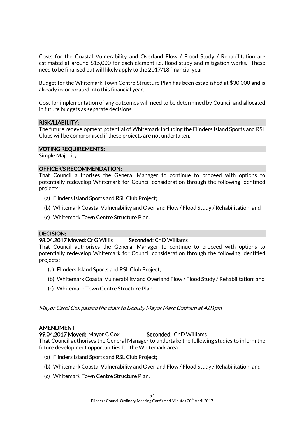Costs for the Coastal Vulnerability and Overland Flow / Flood Study / Rehabilitation are estimated at around \$15,000 for each element i.e. flood study and mitigation works. These need to be finalised but will likely apply to the 2017/18 financial year.

Budget for the Whitemark Town Centre Structure Plan has been established at \$30,000 and is already incorporated into this financial year.

Cost for implementation of any outcomes will need to be determined by Council and allocated in future budgets as separate decisions.

#### RISK/LIABILITY:

The future redevelopment potential of Whitemark including the Flinders Island Sports and RSL Clubs will be compromised if these projects are not undertaken.

#### VOTING REQUIREMENTS:

Simple Majority

#### OFFICER'S RECOMMENDATION:

That Council authorises the General Manager to continue to proceed with options to potentially redevelop Whitemark for Council consideration through the following identified projects:

- (a) Flinders Island Sports and RSL Club Project;
- (b) Whitemark Coastal Vulnerability and Overland Flow / Flood Study / Rehabilitation; and
- (c) Whitemark Town Centre Structure Plan.

#### DECISION:

#### 98.04.2017 Moved: Cr G Willis Seconded: Cr D Williams

That Council authorises the General Manager to continue to proceed with options to potentially redevelop Whitemark for Council consideration through the following identified projects:

- (a) Flinders Island Sports and RSL Club Project;
- (b) Whitemark Coastal Vulnerability and Overland Flow / Flood Study / Rehabilitation; and
- (c) Whitemark Town Centre Structure Plan.

#### Mayor Carol Cox passed the chair to Deputy Mayor Marc Cobham at 4.01pm

#### AMENDMENT

#### 99.04.2017 Moved: Mayor C Cox Seconded: Cr D Williams

That Council authorises the General Manager to undertake the following studies to inform the future development opportunities for the Whitemark area.

- (a) Flinders Island Sports and RSL Club Project;
- (b) Whitemark Coastal Vulnerability and Overland Flow / Flood Study / Rehabilitation; and
- (c) Whitemark Town Centre Structure Plan.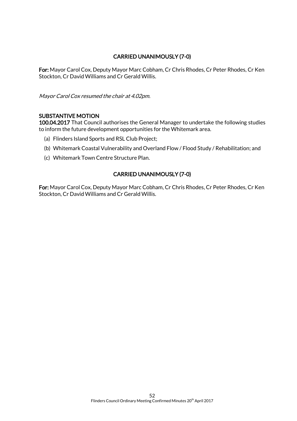# CARRIED UNANIMOUSLY (7-0)

For: Mayor Carol Cox, Deputy Mayor Marc Cobham, Cr Chris Rhodes, Cr Peter Rhodes, Cr Ken Stockton, Cr David Williams and Cr Gerald Willis.

Mayor Carol Cox resumed the chair at 4.02pm.

#### SUBSTANTIVE MOTION

100.04.2017 That Council authorises the General Manager to undertake the following studies to inform the future development opportunities for the Whitemark area.

- (a) Flinders Island Sports and RSL Club Project;
- (b) Whitemark Coastal Vulnerability and Overland Flow / Flood Study / Rehabilitation; and
- (c) Whitemark Town Centre Structure Plan.

#### CARRIED UNANIMOUSLY (7-0)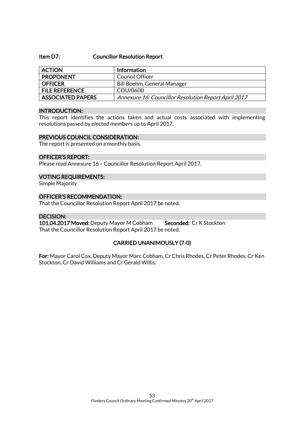#### Item D7: Councillor Resolution Report

| <b>ACTION</b>            | <b>Information</b>                                   |
|--------------------------|------------------------------------------------------|
| <b>PROPONENT</b>         | Council Officer                                      |
| <b>OFFICER</b>           | Bill Boehm, General Manager                          |
| <b>FILE REFERENCE</b>    | COU/0600                                             |
| <b>ASSOCIATED PAPERS</b> | Annexure 16: Councillor Resolution Report April 2017 |

#### INTRODUCTION:

This report identifies the actions taken and actual costs associated with implementing resolutions passed by elected members up to April 2017.

#### PREVIOUS COUNCIL CONSIDERATION:

The report is presented on a monthly basis.

#### OFFICER'S REPORT:

Please read Annexure 16 – Councillor Resolution Report April 2017.

#### VOTING REQUIREMENTS:

Simple Majority

#### OFFICER'S RECOMMENDATION:

That the Councillor Resolution Report April 2017 be noted.

#### DECISION:

101.04.2017 Moved: Deputy Mayor M Cobham Seconded: Cr K Stockton That the Councillor Resolution Report April 2017 be noted.

#### CARRIED UNANIMOUSLY (7-0)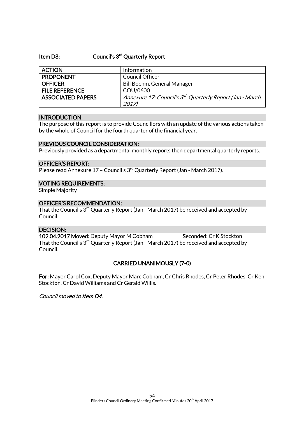#### Item D8: Council's 3<sup>rd</sup> Quarterly Report

| <b>ACTION</b>            | Information                                                          |
|--------------------------|----------------------------------------------------------------------|
| <b>PROPONENT</b>         | <b>Council Officer</b>                                               |
| <b>OFFICER</b>           | <b>Bill Boehm, General Manager</b>                                   |
| <b>FILE REFERENCE</b>    | COU/0600                                                             |
| <b>ASSOCIATED PAPERS</b> | Annexure 17: Council's 3 <sup>rd</sup> Quarterly Report (Jan - March |
|                          | 2017)                                                                |

#### INTRODUCTION:

The purpose of this report is to provide Councillors with an update of the various actions taken by the whole of Council for the fourth quarter of the financial year.

#### PREVIOUS COUNCIL CONSIDERATION:

Previously provided as a departmental monthly reports then departmental quarterly reports.

#### OFFICER'S REPORT:

Please read Annexure  $17$  – Council's  $3<sup>rd</sup>$  Quarterly Report (Jan - March 2017).

#### VOTING REQUIREMENTS:

Simple Majority

#### OFFICER'S RECOMMENDATION:

That the Council's  $3<sup>rd</sup>$  Quarterly Report (Jan - March 2017) be received and accepted by Council.

#### DECISION:

102.04.2017 Moved: Deputy Mayor M Cobham Seconded: Cr K Stockton That the Council's 3<sup>rd</sup> Quarterly Report (Jan - March 2017) be received and accepted by Council.

#### CARRIED UNANIMOUSLY (7-0)

For: Mayor Carol Cox, Deputy Mayor Marc Cobham, Cr Chris Rhodes, Cr Peter Rhodes, Cr Ken Stockton, Cr David Williams and Cr Gerald Willis.

Council moved to Item D4.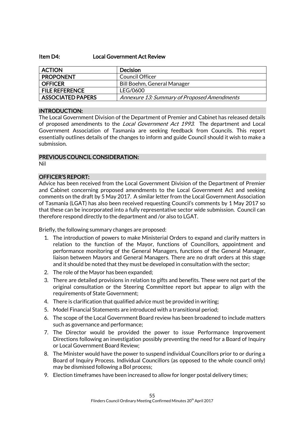#### Item D4: Local Government Act Review

| <b>ACTION</b>            | <b>Decision</b>                             |
|--------------------------|---------------------------------------------|
| <b>PROPONENT</b>         | Council Officer                             |
| <b>OFFICER</b>           | <b>Bill Boehm, General Manager</b>          |
| <b>FILE REFERENCE</b>    | LEG/0600                                    |
| <b>ASSOCIATED PAPERS</b> | Annexure 13: Summary of Proposed Amendments |

#### INTRODUCTION:

The Local Government Division of the Department of Premier and Cabinet has released details of proposed amendments to the *Local Government Act 1993*. The department and Local Government Association of Tasmania are seeking feedback from Councils. This report essentially outlines details of the changes to inform and guide Council should it wish to make a submission.

#### PREVIOUS COUNCIL CONSIDERATION:

Nil

#### OFFICER'S REPORT:

Advice has been received from the Local Government Division of the Department of Premier and Cabinet concerning proposed amendments to the Local Government Act and seeking comments on the draft by 5 May 2017. A similar letter from the Local Government Association of Tasmania (LGAT) has also been received requesting Council's comments by 1 May 2017 so that these can be incorporated into a fully representative sector wide submission. Council can therefore respond directly to the department and /or also to LGAT.

Briefly, the following summary changes are proposed:

- 1. The introduction of powers to make Ministerial Orders to expand and clarify matters in relation to the function of the Mayor, functions of Councillors, appointment and performance monitoring of the General Managers, functions of the General Manager, liaison between Mayors and General Managers. There are no draft orders at this stage and it should be noted that they must be developed in consultation with the sector;
- 2. The role of the Mayor has been expanded;
- 3. There are detailed provisions in relation to gifts and benefits. These were not part of the original consultation or the Steering Committee report but appear to align with the requirements of State Government;
- 4. There is clarification that qualified advice must be provided in writing;
- 5. Model Financial Statements are introduced with a transitional period;
- 6. The scope of the Local Government Board review has been broadened to include matters such as governance and performance;
- 7. The Director would be provided the power to issue Performance Improvement Directions following an investigation possibly preventing the need for a Board of Inquiry or Local Government Board Review;
- 8. The Minister would have the power to suspend individual Councillors prior to or during a Board of Inquiry Process. Individual Councillors (as opposed to the whole council only) may be dismissed following a BoI process;
- 9. Election timeframes have been increased to allow for longer postal delivery times;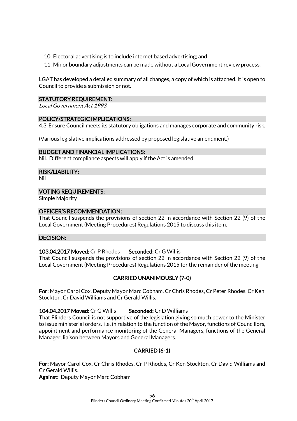10. Electoral advertising is to include internet based advertising; and

11. Minor boundary adjustments can be made without a Local Government review process.

LGAT has developed a detailed summary of all changes, a copy of which is attached. It is open to Council to provide a submission or not.

#### STATUTORY REQUIREMENT:

Local Government Act 1993

#### POLICY/STRATEGIC IMPLICATIONS:

4.3 Ensure Council meets its statutory obligations and manages corporate and community risk.

(Various legislative implications addressed by proposed legislative amendment.)

#### BUDGET AND FINANCIAL IMPLICATIONS:

Nil. Different compliance aspects will apply if the Act is amended.

#### RISK/LIABILITY:

Nil

#### VOTING REQUIREMENTS:

Simple Majority

#### OFFICER'S RECOMMENDATION:

That Council suspends the provisions of section 22 in accordance with Section 22 (9) of the Local Government (Meeting Procedures) Regulations 2015 to discuss this item.

#### DECISION:

#### 103.04.2017 Moved: Cr P Rhodes Seconded: Cr G Willis

That Council suspends the provisions of section 22 in accordance with Section 22 (9) of the Local Government (Meeting Procedures) Regulations 2015 for the remainder of the meeting

#### CARRIED UNANIMOUSLY (7-0)

For: Mayor Carol Cox, Deputy Mayor Marc Cobham, Cr Chris Rhodes, Cr Peter Rhodes, Cr Ken Stockton, Cr David Williams and Cr Gerald Willis.

#### 104.04.2017 Moved: Cr G Willis Seconded: Cr D Williams

That Flinders Council is not supportive of the legislation giving so much power to the Minister to issue ministerial orders. i.e. in relation to the function of the Mayor, functions of Councillors, appointment and performance monitoring of the General Managers, functions of the General Manager, liaison between Mayors and General Managers.

# CARRIED (6-1)

For: Mayor Carol Cox, Cr Chris Rhodes, Cr P Rhodes, Cr Ken Stockton, Cr David Williams and Cr Gerald Willis.

Against: Deputy Mayor Marc Cobham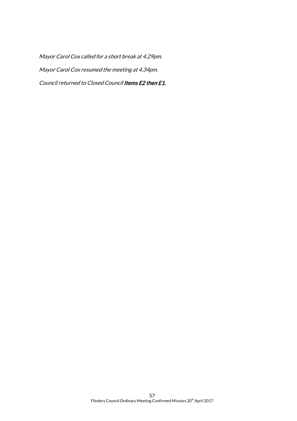Mayor Carol Cox called for a short break at 4.29pm. Mayor Carol Cox resumed the meeting at 4.34pm. Council returned to Closed Council Items E2 then E1.